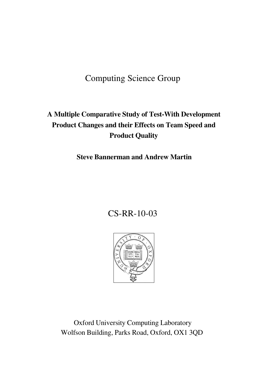# Computing Science Group

# A Multiple Comparative Study of Test-With Development Product Changes and their Effects on Team Speed and Product Quality

Steve Bannerman and Andrew Martin

# CS-RR-10-03



Oxford University Computing Laboratory Wolfson Building, Parks Road, Oxford, OX1 3QD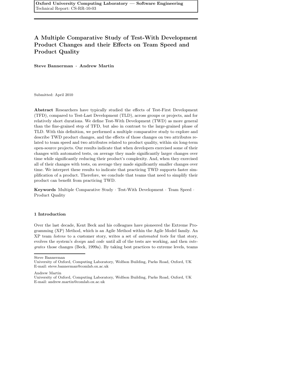# A Multiple Comparative Study of Test-With Development Product Changes and their Effects on Team Speed and Product Quality

Steve Bannerman · Andrew Martin

Submitted: April 2010

Abstract Researchers have typically studied the effects of Test-First Development (TFD), compared to Test-Last Development (TLD), across groups or projects, and for relatively short durations. We define Test-With Development (TWD) as more general than the fine-grained step of TFD, but also in contrast to the large-grained phase of TLD. With this definition, we performed a multiple comparative study to explore and describe TWD product changes, and the effects of those changes on two attributes related to team speed and two attributes related to product quality, within six long-term open-source projects. Our results indicate that when developers exercised some of their changes with automated tests, on average they made significantly larger changes over time while significantly reducing their product's complexity. And, when they exercised all of their changes with tests, on average they made significantly smaller changes over time. We interpret these results to indicate that practicing TWD supports faster simplification of a product. Therefore, we conclude that teams that need to simplify their product can benefit from practicing TWD.

Keywords Multiple Comparative Study · Test-With Development · Team Speed · Product Quality

# 1 Introduction

Over the last decade, Kent Beck and his colleagues have pioneered the Extreme Programming (XP) Method, which is an Agile Method within the Agile Model family. An XP team listens to a customer story, writes a set of automated tests for that story, evolves the system's design and code until all of the tests are working, and then integrates those changes (Beck, 1999a). By taking best practices to extreme levels, teams

Steve Bannerman

Andrew Martin

University of Oxford, Computing Laboratory, Wolfson Building, Parks Road, Oxford, UK E-mail: steve.bannerman@comlab.ox.ac.uk

University of Oxford, Computing Laboratory, Wolfson Building, Parks Road, Oxford, UK E-mail: andrew.martin@comlab.ox.ac.uk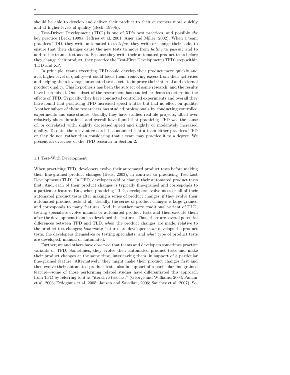should be able to develop and deliver their product to their customers more quickly and at higher levels of quality (Beck, 1999b).

Test-Driven Development (TDD) is one of XP's best practices, and possibly the key practice (Beck, 1999a; Jeffries et al, 2001; Auer and Miller, 2002). When a team practices TDD, they write automated tests before they write or change their code, to ensure that their changes cause the new tests to move from failing to passing and to add to the team's test assets. Because they write their automated product tests before they change their product, they practice the Test-First Development (TFD) step within TDD and XP.

In principle, teams executing TFD could develop their product more quickly and at a higher level of quality—it could focus them, removing excess from their activities and helping them leverage automated test assets to improve their internal and external product quality. This hypothesis has been the subject of some research, and the results have been mixed. One subset of the researchers has studied students to determine the effects of TFD. Typically, they have conducted controlled experiments and overall they have found that practicing TFD increased speed a little but had no effect on quality. Another subset of these researchers has studied professionals by conducting controlled experiments and case-studies. Usually, they have studied real-life projects, albeit over relatively short durations, and overall have found that practicing TFD was the cause of, or correlated with, slightly decreased speed and slightly or moderately increased quality. To date, the relevant research has assumed that a team either practices TFD or they do not, rather than considering that a team may practice it to a degree. We present an overview of the TFD research in Section 2.

#### 1.1 Test-With Development

When practicing TFD, developers evolve their automated product tests before making their fine-grained product changes (Beck, 2003), in contrast to practicing Test-Last Development (TLD). In TFD, developers add or change their automated product tests first. And, each of their product changes is typically fine-grained and corresponds to a particular feature. But, when practicing TLD, developers evolve most or all of their automated product tests after making a series of product changes, if they evolve their automated product tests at all. Usually, the series of product changes is large-grained and corresponds to many features. And, in another more traditional variant of TLD, testing specialists evolve manual or automated product tests and then execute them after the development team has developed the features. Thus, there are several potential differences between TFD and TLD: when the product changes are made, relative to the product test changes; how many features are developed; who develops the product tests, the developers themselves or testing specialists; and what type of product tests are developed, manual or automated.

Further, we and others have observed that teams and developers sometimes practice variants of TFD. Sometimes, they evolve their automated product tests and make their product changes at the same time, interleaving them, in support of a particular fine-grained feature. Alternatively, they might make their product changes first and then evolve their automated product tests, also in support of a particular fine-grained feature—some of those performing related studies have differentiated this approach from TFD by referring to it as "iterative test-last" (George and Williams, 2003; Pancur et al, 2003; Erdogmus et al, 2005; Janzen and Saiedian, 2006; Sanchez et al, 2007). So,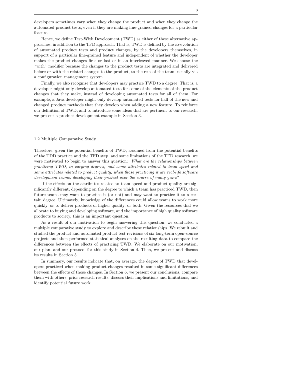developers sometimes vary when they change the product and when they change the automated product tests, even if they are making fine-grained changes for a particular feature.

Hence, we define Test-With Development (TWD) as either of these alternative approaches, in addition to the TFD approach. That is, TWD is defined by the co-evolution of automated product tests and product changes, by the developers themselves, in support of a particular fine-grained feature and independent of whether the developer makes the product changes first or last or in an interleaved manner. We choose the "with" modifier because the changes to the product tests are integrated and delivered before or with the related changes to the product, to the rest of the team, usually via a configuration management system.

Finally, we also recognize that developers may practice TWD to a degree. That is, a developer might only develop automated tests for some of the elements of the product changes that they make, instead of developing automated tests for all of them. For example, a Java developer might only develop automated tests for half of the new and changed product methods that they develop when adding a new feature. To reinforce our definition of TWD, and to introduce some ideas that are pertinent to our research, we present a product development example in Section 3.

#### 1.2 Multiple Comparative Study

Therefore, given the potential benefits of TWD, assumed from the potential benefits of the TDD practice and the TFD step, and some limitations of the TFD research, we were motivated to begin to answer this question: What are the relationships between practicing TWD, to varying degrees, and some attributes related to team speed and some attributes related to product quality, when those practicing it are real-life software development teams, developing their product over the course of many years?

If the effects on the attributes related to team speed and product quality are significantly different, depending on the degree to which a team has practiced TWD, then future teams may want to practice it (or not) and may want to practice it to a certain degree. Ultimately, knowledge of the differences could allow teams to work more quickly, or to deliver products of higher quality, or both. Given the resources that we allocate to buying and developing software, and the importance of high quality software products to society, this is an important question.

As a result of our motivation to begin answering this question, we conducted a multiple comparative study to explore and describe these relationships. We rebuilt and studied the product and automated product test revisions of six long-term open-source projects and then performed statistical analyses on the resulting data to compare the differences between the effects of practicing TWD. We elaborate on our motivation, our plan, and our protocol for this study in Section 4. Then, we present and discuss its results in Section 5.

In summary, our results indicate that, on average, the degree of TWD that developers practiced when making product changes resulted in some significant differences between the effects of those changes. In Section 6, we present our conclusions, compare them with others' prior research results, discuss their implications and limitations, and identify potential future work.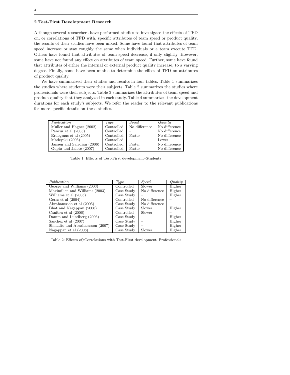# 2 Test-First Development Research

Although several researchers have performed studies to investigate the effects of TFD on, or correlations of TFD with, specific attributes of team speed or product quality, the results of their studies have been mixed. Some have found that attributes of team speed increase or stay roughly the same when individuals or a team execute TFD. Others have found that attributes of team speed decrease, if only slightly. However, some have not found any effect on attributes of team speed. Further, some have found that attributes of either the internal or external product quality increase, to a varying degree. Finally, some have been unable to determine the effect of TFD on attributes of product quality.

We have summarized their studies and results in four tables. Table 1 summarizes the studies where students were their subjects. Table 2 summarizes the studies where professionals were their subjects. Table 3 summarizes the attributes of team speed and product quality that they analyzed in each study. Table 4 summarizes the development durations for each study's subjects. We refer the reader to the relevant publications for more specific details on these studies.

| Publication                | Tupe       | <i>Speed</i>  | Quality       |
|----------------------------|------------|---------------|---------------|
| Muller and Hagner (2002)   | Controlled | No difference | No difference |
| Pancur et al (2003)        | Controlled |               | No difference |
| Erdogmus et al $(2005)$    | Controlled | Faster        | No difference |
| Madevski (2005)            | Controlled |               | Lower         |
| Janzen and Saiedian (2006) | Controlled | Faster        | No difference |
| Gupta and Jalote (2007)    | Controlled | Faster        | No difference |

Table 1: Effects of Test-First development–Students

| Publication                       | Type       | <i>Speed</i>  | Quality |
|-----------------------------------|------------|---------------|---------|
| George and Williams (2003)        | Controlled | Slower        | Higher  |
| Maximilien and Williams (2003)    | Case Study | No difference | Higher  |
| Williams et al (2003)             | Case Study |               | Higher  |
| Geras et al $(2004)$              | Controlled | No difference |         |
| Abrahamsson et al (2005)          | Case Study | No difference |         |
| Bhat and Nagappan (2006)          | Case Study | Slower        | Higher  |
| Canfora et al (2006)              | Controlled | Slower        |         |
| Damm and Lundberg (2006)          | Case Study |               | Higher  |
| Sanchez et al (2007)              | Case Study |               | Higher  |
| Sinia alto and Abrahamsson (2007) | Case Study |               | Higher  |
| Nagappan et al (2008)             | Case Study | Slower        | Higher  |

Table 2: Effects of/Correlations with Test-First development–Professionals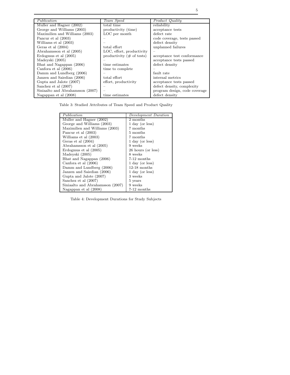| Publication                      | Team Speed                           | Product Quality               |
|----------------------------------|--------------------------------------|-------------------------------|
| Muller and Hagner (2002)         | total time                           | reliability                   |
| George and Williams (2003)       | productivity (time)                  | acceptance tests              |
| Maximilien and Williams (2003)   | LOC per month                        | defect rate                   |
| Pancur et al (2003)              |                                      | code coverage, tests passed   |
| Williams et al (2003)            |                                      | defect density                |
| Geras et al $(2004)$             | total effort                         | unplanned failures            |
| Abrahamsson et al (2005)         | LOC, effort, productivity            |                               |
| Erdogmus et al $(2005)$          | productivity $(\# \text{ of tests})$ | acceptance test conformance   |
| Madeyski (2005)                  |                                      | acceptance tests passed       |
| Bhat and Nagappan (2006)         | time estimates                       | defect density                |
| Canfora et al $(2006)$           | time to complete                     |                               |
| Damm and Lundberg (2006)         |                                      | fault rate                    |
| Janzen and Saiedian (2006)       | total effort                         | internal metrics              |
| Gupta and Jalote (2007)          | effort, productivity                 | acceptance tests passed       |
| Sanchez et al (2007)             |                                      | defect density, complexity    |
| Siniaalto and Abrahamsson (2007) |                                      | program design, code coverage |
| Nagappan et al (2008)            | time estimates                       | defect density                |

Table 3: Studied Attributes of Team Speed and Product Quality

| Publication                      | Development Duration       |
|----------------------------------|----------------------------|
| Muller and Hagner (2002)         | 2 months                   |
| George and Williams (2003)       | $1 \mathrm{day}$ (or less) |
| Maximilien and Williams (2003)   | 7 months                   |
| Pancur et al (2003)              | 5 months                   |
| Williams et al (2003)            | 7 months                   |
| Geras et al $(2004)$             | $1 \mathrm{day}$ (or less) |
| Abrahamsson et al (2005)         | 9 weeks                    |
| Erdogmus et al (2005)            | 26 hours (or less)         |
| Madeyski (2005)                  | 8 weeks                    |
| Bhat and Nagappan (2006)         | 7-12 months                |
| Canfora et al (2006)             | 1 day (or less)            |
| Damm and Lundberg (2006)         | $12-18$ months             |
| Janzen and Saiedian (2006)       | $1 \mathrm{day}$ (or less) |
| Gupta and Jalote (2007)          | 3 weeks                    |
| Sanchez et al (2007)             | 5 years                    |
| Siniaalto and Abrahamsson (2007) | 9 weeks                    |
| Nagappan et al (2008)            | $7-12$ months              |

Table 4: Development Durations for Study Subjects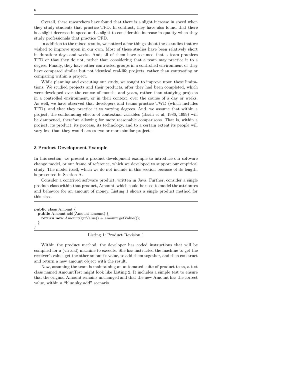Overall, these researchers have found that there is a slight increase in speed when they study students that practice TFD. In contrast, they have also found that there is a slight decrease in speed and a slight to considerable increase in quality when they study professionals that practice TFD.

In addition to the mixed results, we noticed a few things about these studies that we wished to improve upon in our own. Most of these studies have been relatively short in duration: days and weeks. And, all of them have assumed that a team practices TFD or that they do not, rather than considering that a team may practice it to a degree. Finally, they have either contrasted groups in a controlled environment or they have compared similar but not identical real-life projects, rather than contrasting or comparing within a project.

While planning and executing our study, we sought to improve upon these limitations. We studied projects and their products, after they had been completed, which were developed over the course of months and years, rather than studying projects in a controlled environment, or in their context, over the course of a day or weeks. As well, we have observed that developers and teams practice TWD (which includes TFD), and that they practice it to varying degrees. And, we assume that within a project, the confounding effects of contextual variables (Basili et al, 1986, 1999) will be dampened, therefore allowing for more reasonable comparisons. That is, within a project, its product, its process, its technology, and to a certain extent its people will vary less than they would across two or more similar projects.

# 3 Product Development Example

In this section, we present a product development example to introduce our software change model, or our frame of reference, which we developed to support our empirical study. The model itself, which we do not include in this section because of its length, is presented in Section A.

Consider a contrived software product, written in Java. Further, consider a single product class within that product, Amount, which could be used to model the attributes and behavior for an amount of money. Listing 1 shows a single product method for this class.

```
public class Amount {
 public Amount add(Amount amount) {
   return new Amount(getValue() + amount.getValue());
  }
}
```
# Listing 1: Product Revision 1

Within the product method, the developer has coded instructions that will be compiled for a (virtual) machine to execute. She has instructed the machine to get the receiver's value, get the other amount's value, to add them together, and then construct and return a new amount object with the result.

Now, assuming the team is maintaining an automated suite of product tests, a test class named AmountTest might look like Listing 2. It includes a simple test to ensure that the original Amount remains unchanged and that the new Amount has the correct value, within a "blue sky add" scenario.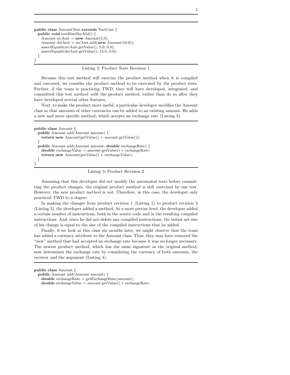```
public class AmountTest extends TestCase {
 public void testBlueSkyAdd() {
   Amount srcAmt = new Amount(5.0);
   Amount dstAmt = srcAmt.add(new Amount(10.0));assertEquals(srcAmt.getValue(), 5.0, 0.0);
   assertEquals(dstAmt.getValue(), 15.0, 0.0);}
}
```
Listing 2: Product Tests Revision 1

Because this test method will exercise the product method when it is compiled and executed, we consider the product method to be exercised by the product tests. Further, if the team is practicing TWD, they will have developed, integrated, and committed this test method with the product method, rather than do so after they have developed several other features.

Next, to make the product more useful, a particular developer modifies the Amount class so that amounts of other currencies can be added to an existing amount. He adds a new and more specific method, which accepts an exchange rate (Listing 3).

```
public class Amount {
 public Amount add(Amount amount) {
   return new Amount(getValue() + amount.getValue());}
 public Amount add(Amount amount, double exchangeRate) {
   double exchangeValue = amount.getValue() ∗ exchangeRate;
   return new Amount(getValue() + exchangeValue);
  }
}
```
Listing 3: Product Revision 2

Assuming that this developer did not modify the automated tests before committing the product changes, the original product method is still exercised by one test. However, the new product method is not. Therefore, in this case, the developer only practiced TWD to a degree.

In making the changes from product revision 1 (Listing 1) to product revision 2 (Listing 3), the developer added a method. At a more precise level, the developer added a certain number of instructions, both in the source code and in the resulting compiled instructions. And, since he did not delete any compiled instructions, the initial net size of his change is equal to the size of the compiled instructions that he added.

Finally, if we look at this class six months later, we might observe that the team has added a currency attribute to the Amount class. Thus, they may have removed the "new" method that had accepted an exchange rate because it was no longer necessary. The newest product method, which has the same signature as the original method, now determines the exchange rate by considering the currency of both amounts, the receiver and the argument (Listing 4).

```
public class Amount {
 public Amount add(Amount amount) {
```
double exchangeRate  $=$  getExchangeRate(amount); double exchangeValue = amount.getValue() ∗ exchangeRate;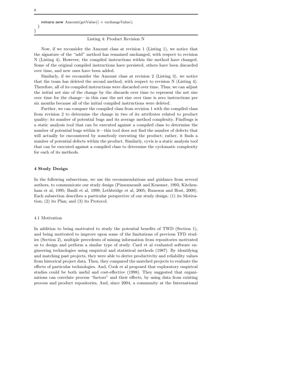# Listing 4: Product Revision N

Now, if we reconsider the Amount class at revision 1 (Listing 1), we notice that the signature of the "add" method has remained unchanged, with respect to revision N (Listing 4). However, the compiled instructions within the method have changed. Some of the original compiled instructions have persisted, others have been discarded over time, and new ones have been added.

Similarly, if we reconsider the Amount class at revision 2 (Listing 3), we notice that the team has deleted the second method, with respect to revision N (Listing 4). Therefore, all of its compiled instructions were discarded over time. Thus, we can adjust the initial net size of the change by the discards over time to represent the net size over time for the change—in this case the net size over time is zero instructions per six months because all of the initial compiled instructions were deleted.

Further, we can compare the compiled class from revision 1 with the compiled class from revision 2 to determine the change in two of its attributes related to product quality: its number of potential bugs and its average method complexity. Findbugs is a static analysis tool that can be executed against a compiled class to determine the number of potential bugs within it—this tool does not find the number of defects that will actually be encountered by somebody executing the product; rather, it finds a number of potential defects within the product. Similarly, cyvis is a static analysis tool that can be executed against a compiled class to determine the cyclomatic complexity for each of its methods.

# 4 Study Design

In the following subsections, we use the recommendations and guidance from several authors, to communicate our study design (Pinsonneault and Kraemer, 1993; Kitchenham et al, 1995; Basili et al, 1999; Lethbridge et al, 2005; Runeson and Host, 2009). Each subsection describes a particular perspective of our study design: (1) its Motivation; (2) its Plan; and (3) its Protocol.

# 4.1 Motivation

In addition to being motivated to study the potential benefits of TWD (Section 1), and being motivated to improve upon some of the limitations of previous TFD studies (Section 2), multiple precedents of mining information from repositories motivated us to design and perform a similar type of study. Card et al evaluated software engineering technologies using empirical and statistical methods (1987). By identifying and matching past projects, they were able to derive productivity and reliability values from historical project data. Then, they compared the matched projects to evaluate the effects of particular technologies. And, Cook et al proposed that exploratory empirical studies could be both useful and cost-effective (1998). They suggested that organizations can correlate process "factors" and their effects, by using data from existing process and product repositories, And, since 2004, a community at the International

}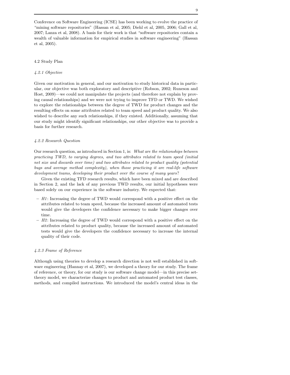Conference on Software Engineering (ICSE) has been working to evolve the practice of "mining software repositories" (Hassan et al, 2005; Diehl et al, 2005, 2006; Gall et al, 2007; Lanza et al, 2008). A basis for their work is that "software repositories contain a wealth of valuable information for empirical studies in software engineering" (Hassan et al, 2005).

# 4.2 Study Plan

# 4.2.1 Objective

Given our motivation in general, and our motivation to study historical data in particular, our objective was both exploratory and descriptive (Robson, 2002; Runeson and Host, 2009)—we could not manipulate the projects (and therefore not explain by proving causal relationships) and we were not trying to improve TFD or TWD. We wished to explore the relationships between the degree of TWD for product changes and the resulting effects on some attributes related to team speed and product quality. We also wished to describe any such relationships, if they existed. Additionally, assuming that our study might identify significant relationships, our other objective was to provide a basis for further research.

# 4.2.2 Research Question

Our research question, as introduced in Section 1, is: What are the relationships between practicing TWD, to varying degrees, and two attributes related to team speed (initial net size and discards over time) and two attributes related to product quality (potential bugs and average method complexity), when those practicing it are real-life software development teams, developing their product over the course of many years?

Given the existing TFD research results, which have been mixed and are described in Section 2, and the lack of any previous TWD results, our initial hypotheses were based solely on our experience in the software industry. We expected that:

- $H1$ : Increasing the degree of TWD would correspond with a positive effect on the attributes related to team speed, because the increased amount of automated tests would give the developers the confidence necessary to make bigger changes over time.
- $-$  H2: Increasing the degree of TWD would correspond with a positive effect on the attributes related to product quality, because the increased amount of automated tests would give the developers the confidence necessary to increase the internal quality of their code.

# 4.2.3 Frame of Reference

Although using theories to develop a research direction is not well established in software engineering (Hannay et al, 2007), we developed a theory for our study. The frame of reference, or theory, for our study is our software change model—in this precise settheory model, we characterize changes to product and automated product test classes, methods, and compiled instructions. We introduced the model's central ideas in the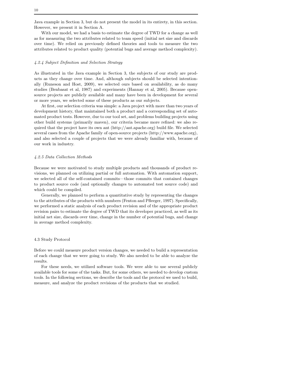Java example in Section 3, but do not present the model in its entirety, in this section. However, we present it in Section A.

With our model, we had a basis to estimate the degree of TWD for a change as well as for measuring the two attributes related to team speed (initial net size and discards over time). We relied on previously defined theories and tools to measure the two attributes related to product quality (potential bugs and average method complexity).

# 4.2.4 Subject Definition and Selection Strategy

As illustrated in the Java example in Section 3, the subjects of our study are products as they change over time. And, although subjects should be selected intentionally (Runeson and Host, 2009), we selected ours based on availability, as do many studies (Benbasat et al, 1987) and experiments (Hannay et al, 2005). Because opensource projects are publicly available and many have been in development for several or more years, we selected some of these products as our subjects.

At first, our selection criteria was simple: a Java project with more than two years of development history, that maintained both a product and a corresponding set of automated product tests. However, due to our tool set, and problems building projects using other build systems (primarily maven), our criteria became more refined: we also required that the project have its own ant (http://ant.apache.org) build file. We selected several cases from the Apache family of open-source projects (http://www.apache.org), and also selected a couple of projects that we were already familiar with, because of our work in industry.

#### 4.2.5 Data Collection Methods

Because we were motivated to study multiple products and thousands of product revisions, we planned on utilizing partial or full automation. With automation support, we selected all of the self-contained commits—those commits that contained changes to product source code (and optionally changes to automated test source code) and which could be compiled.

Generally, we planned to perform a quantitative study by representing the changes to the attributes of the products with numbers (Fenton and Pfleeger, 1997). Specifically, we performed a static analysis of each product revision and of the appropriate product revision pairs to estimate the degree of TWD that its developer practiced, as well as its initial net size, discards over time, change in the number of potential bugs, and change in average method complexity.

# 4.3 Study Protocol

Before we could measure product version changes, we needed to build a representation of each change that we were going to study. We also needed to be able to analyze the results.

For these needs, we utilized software tools. We were able to use several publicly available tools for some of the tasks. But, for some others, we needed to develop custom tools. In the following sections, we describe the tools and the protocol we used to build, measure, and analyze the product revisions of the products that we studied.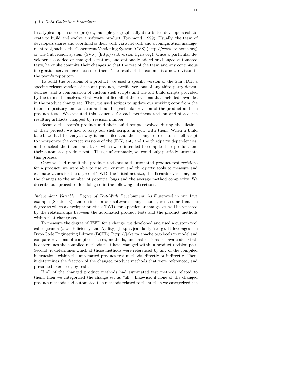#### 4.3.1 Data Collection Procedures

In a typical open-source project, multiple geographically distributed developers collaborate to build and evolve a software product (Raymond, 1999). Usually, the team of developers shares and coordinates their work via a network and a configuration management tool, such as the Concurrent Versioning System (CVS) (http://www.cvshome.org) or the Subversion system (SVN) (http://subversion.tigris.org). Once a particular developer has added or changed a feature, and optionally added or changed automated tests, he or she commits their changes so that the rest of the team and any continuous integration servers have access to them. The result of the commit is a new revision in the team's repository.

To build the revisions of a product, we used a specific version of the Sun JDK, a specific release version of the ant product, specific versions of any third party dependencies, and a combination of custom shell scripts and the ant build scripts provided by the teams themselves. First, we identified all of the revisions that included Java files in the product change set. Then, we used scripts to update our working copy from the team's repository and to clean and build a particular revision of the product and the product tests. We executed this sequence for each pertinent revision and stored the resulting artifacts, mapped by revision number.

Because the team's product and their build scripts evolved during the lifetime of their project, we had to keep our shell scripts in sync with them. When a build failed, we had to analyze why it had failed and then change our custom shell script to incorporate the correct versions of the JDK, ant, and the thirdparty dependencies, and to select the team's ant tasks which were intended to compile their product and their automated product tests. Thus, unfortunately, we could only partially automate this process.

Once we had rebuilt the product revisions and automated product test revisions for a product, we were able to use our custom and thirdparty tools to measure and estimate values for the degree of TWD, the initial net size, the discards over time, and the changes to the number of potential bugs and the average method complexity. We describe our procedure for doing so in the following subsections.

Independent Variable—Degree of Test-With Development As illustrated in our Java example (Section 3), and defined in our software change model, we assume that the degree to which a developer practices TWD, for a particular change set, will be reflected by the relationships between the automated product tests and the product methods within that change set.

To measure the degree of TWD for a change, we developed and used a custom tool called jeanda (Java Efficiency and Agility) (http://jeanda.tigris.org). It leverages the Byte-Code Engineering Library (BCEL) (http://jakarta.apache.org/bcel) to model and compare revisions of compiled classes, methods, and instructions of Java code. First, it determines the compiled methods that have changed within a product revision pair. Second, it determines which of those methods were referenced by any of the compiled instructions within the automated product test methods, directly or indirectly. Then, it determines the fraction of the changed product methods that were referenced, and presumed exercised, by tests.

If all of the changed product methods had automated test methods related to them, then we categorized the change set as "all." Likewise, if none of the changed product methods had automated test methods related to them, then we categorized the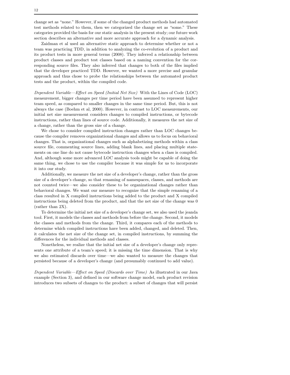change set as "none." However, if some of the changed product methods had automated test methods related to them, then we categorized the change set as "some." These categories provided the basis for our static analysis in the present study; our future work section describes an alternative and more accurate approach for a dynamic analysis.

Zaidman et al used an alternative static approach to determine whether or not a team was practicing TDD, in addition to analyzing the co-evolution of a product and its product tests in more general terms (2008). They inferred a relationship between product classes and product test classes based on a naming convention for the corresponding source files. They also inferred that changes to both of the files implied that the developer practiced TDD. However, we wanted a more precise and granular approach and thus chose to probe the relationships between the automated product tests and the product, within the compiled code.

Dependent Variable—Effect on Speed (Initial Net Size) With the Lines of Code (LOC) measurement, bigger changes per time period have been assumed to represent higher team speed, as compared to smaller changes in the same time period. But, this is not always the case (Boehm et al, 2000). However, in contrast to LOC measurements, our initial net size measurement considers changes to compiled instructions, or bytecode instructions, rather than lines of source code. Additionally, it measures the net size of a change, rather than the gross size of a change.

We chose to consider compiled instruction changes rather than LOC changes because the compiler removes organizational changes and allows us to focus on behavioral changes. That is, organizational changes such as alphabetizing methods within a class source file, commenting source lines, adding blank lines, and placing multiple statements on one line do not cause bytecode instruction changes when a class is compiled. And, although some more advanced LOC analysis tools might be capable of doing the same thing, we chose to use the compiler because it was simple for us to incorporate it into our study.

Additionally, we measure the net size of a developer's change, rather than the gross size of a developer's change, so that renaming of namespaces, classes, and methods are not counted twice—we also consider these to be organizational changes rather than behavioral changes. We want our measure to recognize that the simple renaming of a class resulted in X compiled instructions being added to the product and X compiled instructions being deleted from the product, and that the net size of the change was 0 (rather than 2X).

To determine the initial net size of a developer's change set, we also used the jeanda tool. First, it models the classes and methods from before the change. Second, it models the classes and methods from the change. Third, it compares each of the methods to determine which compiled instructions have been added, changed, and deleted. Then, it calculates the net size of the change set, in compiled instructions, by summing the differences for the individual methods and classes.

Nonetheless, we realize that the initial net size of a developer's change only represents one attribute of a team's speed; it is missing the time dimension. That is why we also estimated discards over time—we also wanted to measure the changes that persisted because of a developer's change (and presumably continued to add value).

Dependent Variable—Effect on Speed (Discards over Time) As illustrated in our Java example (Section 3), and defined in our software change model, each product revision introduces two subsets of changes to the product: a subset of changes that will persist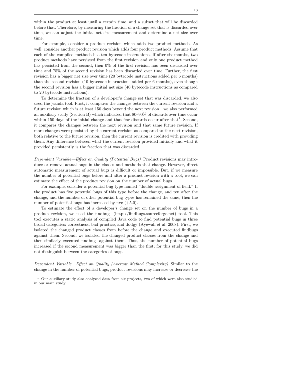within the product at least until a certain time, and a subset that will be discarded before that. Therefore, by measuring the fraction of a change set that is discarded over time, we can adjust the initial net size measurement and determine a net size over time.

For example, consider a product revision which adds two product methods. As well, consider another product revision which adds four product methods. Assume that each of the compiled methods has ten bytecode instructions. If after six months, two product methods have persisted from the first revision and only one product method has persisted from the second, then 0% of the first revision has been discarded over time and 75% of the second revision has been discarded over time. Further, the first revision has a bigger net size over time (20 bytecode instructions added per 6 months) than the second revision (10 bytecode instructions added per 6 months), even though the second revision has a bigger initial net size (40 bytecode instructions as compared to 20 bytecode instructions).

To determine the fraction of a developer's change set that was discarded, we also used the jeanda tool. First, it compares the changes between the current revision and a future revision which is at least 150 days beyond the next revision—we also performed an auxiliary study (Section B) which indicated that 80–90% of discards over time occur within 150 days of the initial change and that few discards occur after that<sup>1</sup>. Second, it compares the changes between the next revision and that same future revision. If more changes were persisted by the current revision as compared to the next revision, both relative to the future revision, then the current revision is credited with providing them. Any difference between what the current revision provided initially and what it provided persistently is the fraction that was discarded.

Dependent Variable—Effect on Quality (Potential Bugs) Product revisions may introduce or remove actual bugs in the classes and methods that change. However, direct automatic measurement of actual bugs is difficult or impossible. But, if we measure the number of potential bugs before and after a product revision with a tool, we can estimate the effect of the product revision on the number of actual bugs.

For example, consider a potential bug type named "double assignment of field." If the product has five potential bugs of this type before the change, and ten after the change, and the number of other potential bug types has remained the same, then the number of potential bugs has increased by five (+5.0).

To estimate the effect of a developer's change set on the number of bugs in a product revision, we used the findbugs (http://findbugs.sourceforge.net) tool. This tool executes a static analysis of compiled Java code to find potential bugs in three broad categories: correctness, bad practice, and dodgy (Ayewah et al, 2008). First, we isolated the changed product classes from before the change and executed findbugs against them. Second, we isolated the changed product classes from the change and then similarly executed findbugs against them. Thus, the number of potential bugs increased if the second measurement was bigger than the first; for this study, we did not distinguish between the categories of bugs.

Dependent Variable—Effect on Quality (Average Method Complexity) Similar to the change in the number of potential bugs, product revisions may increase or decrease the

<sup>1</sup> Our auxiliary study also analyzed data from six projects, two of which were also studied in our main study.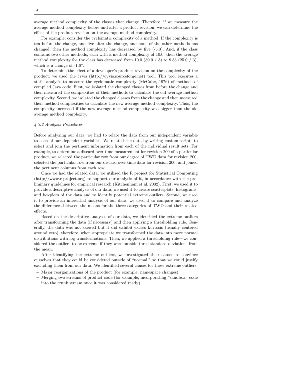average method complexity of the classes that change. Therefore, if we measure the average method complexity before and after a product revision, we can determine the effect of the product revision on the average method complexity.

For example, consider the cyclomatic complexity of a method. If the complexity is ten before the change, and five after the change, and none of the other methods has changed, then the method complexity has decreased by five (-5.0). And, if the class contains two other methods, each with a method complexity of 10.0, then the average method complexity for the class has decreased from  $10.0$   $(30.0 / 3)$  to 8.33  $(25.0 / 3)$ , which is a change of -1.67.

To determine the effect of a developer's product revision on the complexity of the product, we used the cyvis (http://cyvis.sourceforge.net) tool. This tool executes a static analysis to measure the cyclomatic complexity (McCabe, 1976) of methods of compiled Java code. First, we isolated the changed classes from before the change and then measured the complexities of their methods to calculate the old average method complexity. Second, we isolated the changed classes from the change and then measured their method complexities to calculate the new average method complexity. Thus, the complexity increased if the new average method complexity was bigger than the old average method complexity.

# 4.3.2 Analysis Procedures

Before analyzing our data, we had to relate the data from our independent variable to each of our dependent variables. We related the data by writing custom scripts to select and join the pertinent information from each of the individual result sets. For example, to determine a discard over time measurement for revision 200 of a particular product, we selected the particular row from our degree of TWD data for revision 200, selected the particular row from our discard over time data for revision 200, and joined the pertinent columns from each row.

Once we had the related data, we utilized the R project for Statistical Computing (http://www.r-project.org) to support our analysis of it, in accordance with the preliminary guidelines for empirical research (Kitchenham et al, 2002). First, we used it to provide a descriptive analysis of our data; we used it to create scatterplots, histograms, and boxplots of the data and to identify potential extreme outliers. Second, we used it to provide an inferential analysis of our data; we used it to compare and analyze the differences between the means for the three categories of TWD and their related effects.

Based on the descriptive analyses of our data, we identified the extreme outliers after transforming the data (if necessary) and then applying a thresholding rule. Generally, the data was not skewed but it did exhibit excess kurtosis (usually centered around zero); therefore, when appropriate we transformed the data into more normal distributions with log transformations. Then, we applied a thresholding rule—we considered the outliers to be extreme if they were outside three standard deviations from the mean.

After identifying the extreme outliers, we investigated their causes to convince ourselves that they could be considered outside of "normal," so that we could justify excluding them from our data. We identified several causes for these extreme outliers:

- Major reorganizations of the product (for example, namespace changes).
- Merging two streams of product code (for example, incorporating "sandbox" code into the trunk stream once it was considered ready).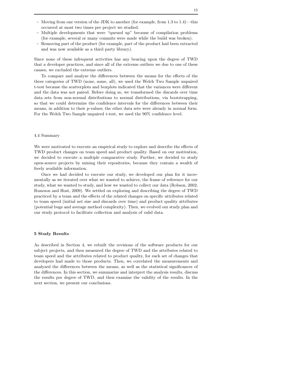- Moving from one version of the JDK to another (for example, from 1.3 to 1.4)—this occurred at most two times per project we studied.
- Multiple developments that were "queued up" because of compilation problems (for example, several or many commits were made while the build was broken).
- Removing part of the product (for example, part of the product had been extracted and was now available as a third party library).

Since none of these infrequent activities has any bearing upon the degree of TWD that a developer practices, and since all of the extreme outliers we due to one of these causes, we excluded the extreme outliers.

To compare and analyze the differences between the means for the effects of the three categories of TWD (none, some, all), we used the Welch Two Sample unpaired t-test because the scatterplots and boxplots indicated that the variances were different and the data was not paired. Before doing so, we transformed the discards over time data sets from non-normal distributions to normal distributions, via bootstrapping, so that we could determine the confidence intervals for the differences between their means, in addition to their p-values; the other data sets were already in normal form. For the Welch Two Sample unpaired t-test, we used the 90% confidence level.

# 4.4 Summary

We were motivated to execute an empirical study to explore and describe the effects of TWD product changes on team speed and product quality. Based on our motivation, we decided to execute a multiple comparative study. Further, we decided to study open-source projects by mining their repositories, because they contain a wealth of freely available information.

Once we had decided to execute our study, we developed our plan for it incrementally as we iterated over what we wanted to achieve, the frame of reference for our study, what we wanted to study, and how we wanted to collect our data (Robson, 2002; Runeson and Host, 2009). We settled on exploring and describing the degree of TWD practiced by a team and the effects of the related changes on specific attributes related to team speed (initial net size and discards over time) and product quality attributes (potential bugs and average method complexity). Then, we evolved our study plan and our study protocol to facilitate collection and analysis of valid data.

# 5 Study Results

As described in Section 4, we rebuilt the revisions of the software products for our subject projects, and then measured the degree of TWD and the attributes related to team speed and the attributes related to product quality, for each set of changes that developers had made to those products. Then, we correlated the measurements and analyzed the differences between the means, as well as the statistical significances of the differences. In this section, we summarize and interpret the analysis results, discuss the results per degree of TWD, and then examine the validity of the results. In the next section, we present our conclusions.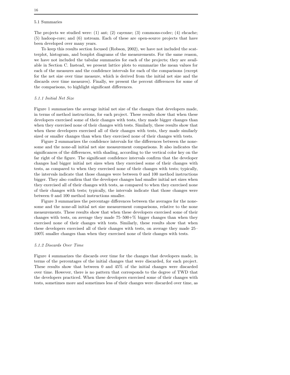#### 5.1 Summaries

The projects we studied were: (1) ant; (2) cayenne; (3) commons-codec; (4) ehcache; (5) hadoop-core; and (6) xstream. Each of these are open-source projects that have been developed over many years.

To keep this results section focused (Robson, 2002), we have not included the scatterplot, histogram, and boxplot diagrams of the measurements. For the same reason, we have not included the tabular summaries for each of the projects; they are available in Section C. Instead, we present lattice plots to summarize the mean values for each of the measures and the confidence intervals for each of the comparisons (except for the net size over time measure, which is derived from the initial net size and the discards over time measures). Finally, we present the percent differences for some of the comparisons, to highlight significant differences.

# 5.1.1 Initial Net Size

Figure 1 summarizes the average initial net size of the changes that developers made, in terms of method instructions, for each project. These results show that when these developers exercised some of their changes with tests, they made bigger changes than when they exercised none of their changes with tests. Similarly, these results show that when these developers exercised all of their changes with tests, they made similarly sized or smaller changes than when they exercised none of their changes with tests.

Figure 2 summarizes the confidence intervals for the differences between the nonesome and the none-all initial net size measurement comparisons. It also indicates the significances of the differences, with shading, according to the vertical color key on the far right of the figure. The significant confidence intervals confirm that the developer changes had bigger initial net sizes when they exercised some of their changes with tests, as compared to when they exercised none of their changes with tests; typically, the intervals indicate that those changes were between 0 and 100 method instructions bigger. They also confirm that the developer changes had smaller initial net sizes when they exercised all of their changes with tests, as compared to when they exercised none of their changes with tests; typically, the intervals indicate that those changes were between 0 and 100 method instructions smaller.

Figure 3 summarizes the percentage differences between the averages for the nonesome and the none-all initial net size measurement comparisons, relative to the none measurements. These results show that when these developers exercised some of their changes with tests, on average they made 75–500+% bigger changes than when they exercised none of their changes with tests. Similarly, these results show that when these developers exercised all of their changes with tests, on average they made 25– 100% smaller changes than when they exercised none of their changes with tests.

# 5.1.2 Discards Over Time

Figure 4 summarizes the discards over time for the changes that developers made, in terms of the percentages of the initial changes that were discarded, for each project. These results show that between 0 and 45% of the initial changes were discarded over time. However, there is no pattern that corresponds to the degree of TWD that the developers practiced. When these developers exercised some of their changes with tests, sometimes more and sometimes less of their changes were discarded over time, as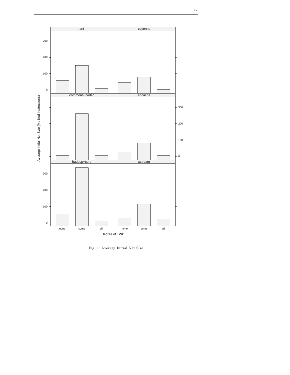

Fig. 1: Average Initial Net Size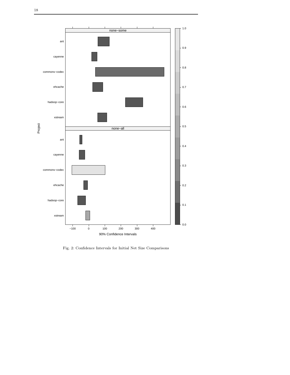

Fig. 2: Confidence Intervals for Initial Net Size Comparisons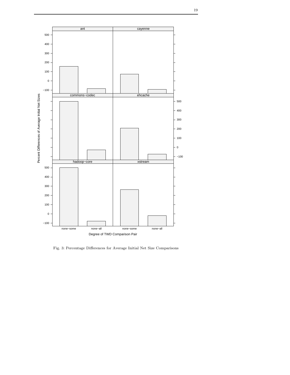

Fig. 3: Percentage Differences for Average Initial Net Size Comparisons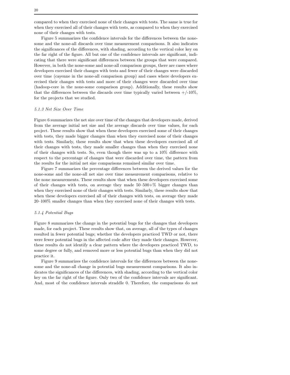compared to when they exercised none of their changes with tests. The same is true for when they exercised all of their changes with tests, as compared to when they exercised none of their changes with tests.

Figure 5 summarizes the confidence intervals for the differences between the nonesome and the none-all discards over time measurement comparisons. It also indicates the significances of the differences, with shading, according to the vertical color key on the far right of the figure. All but one of the confidence intervals are significant, indicating that there were significant differences between the groups that were compared. However, in both the none-some and none-all comparison groups, there are cases where developers exercised their changes with tests and fewer of their changes were discarded over time (cayenne in the none-all comparison group) and cases where developers exercised their changes with tests and more of their changes were discarded over time (hadoop-core in the none-some comparison group). Additionally, these results show that the differences between the discards over time typically varied between  $+/-10\%$ , for the projects that we studied.

# 5.1.3 Net Size Over Time

Figure 6 summarizes the net size over time of the changes that developers made, derived from the average initial net size and the average discards over time values, for each project. These results show that when these developers exercised some of their changes with tests, they made bigger changes than when they exercised none of their changes with tests. Similarly, these results show that when these developers exercised all of their changes with tests, they made smaller changes than when they exercised none of their changes with tests. So, even though there was up to a 10% difference with respect to the percentage of changes that were discarded over time, the pattern from the results for the initial net size comparisons remained similar over time.

Figure 7 summarizes the percentage differences between the derived values for the none-some and the none-all net size over time measurement comparisons, relative to the none measurements. These results show that when these developers exercised some of their changes with tests, on average they made  $50-500+\%$  bigger changes than when they exercised none of their changes with tests. Similarly, these results show that when these developers exercised all of their changes with tests, on average they made 20–100% smaller changes than when they exercised none of their changes with tests.

# 5.1.4 Potential Bugs

Figure 8 summarizes the change in the potential bugs for the changes that developers made, for each project. These results show that, on average, all of the types of changes resulted in fewer potential bugs; whether the developers practiced TWD or not, there were fewer potential bugs in the affected code after they made their changes. However, these results do not identify a clear pattern where the developers practiced TWD, to some degree or fully, and removed more or less potential bugs than when they did not practice it.

Figure 9 summarizes the confidence intervals for the differences between the nonesome and the none-all change in potential bugs measurement comparisons. It also indicates the significances of the differences, with shading, according to the vertical color key on the far right of the figure. Only two of the confidence intervals are significant. And, most of the confidence intervals straddle 0. Therefore, the comparisons do not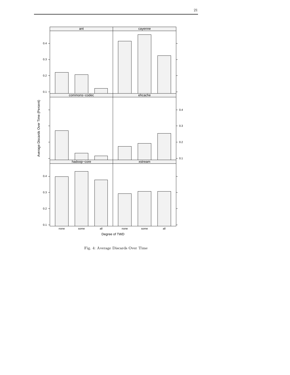

Fig. 4: Average Discards Over Time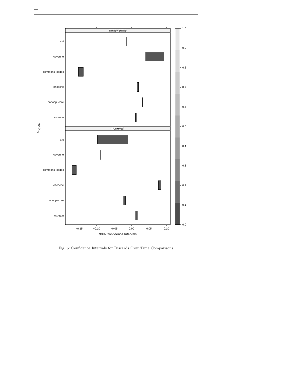

Fig. 5: Confidence Intervals for Discards Over Time Comparisons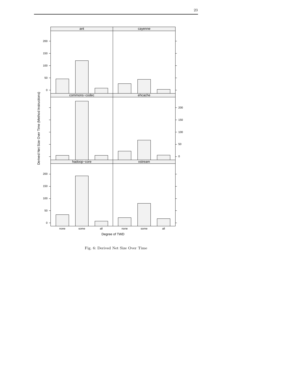

Fig. 6: Derived Net Size Over Time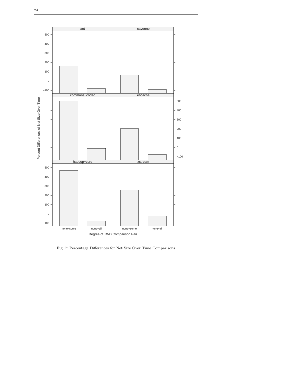

Fig. 7: Percentage Differences for Net Size Over Time Comparisons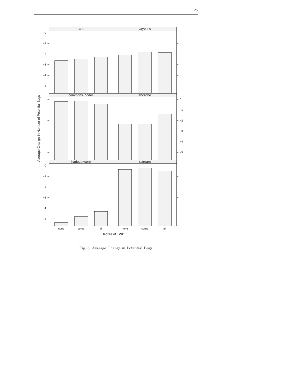

Fig. 8: Average Change in Potential Bugs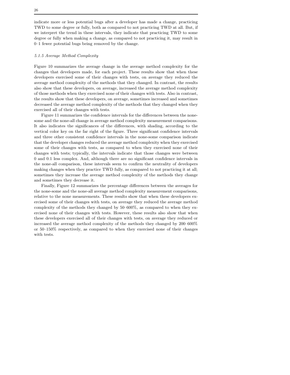indicate more or less potential bugs after a developer has made a change, practicing TWD to some degree or fully, both as compared to not practicing TWD at all. But, if we interpret the trend in these intervals, they indicate that practicing TWD to some degree or fully when making a change, as compared to not practicing it, may result in 0–1 fewer potential bugs being removed by the change.

#### 5.1.5 Average Method Complexity

Figure 10 summarizes the average change in the average method complexity for the changes that developers made, for each project. These results show that when these developers exercised some of their changes with tests, on average they reduced the average method complexity of the methods that they changed. In contrast, the results also show that these developers, on average, increased the average method complexity of those methods when they exercised none of their changes with tests. Also in contrast, the results show that these developers, on average, sometimes increased and sometimes decreased the average method complexity of the methods that they changed when they exercised all of their changes with tests.

Figure 11 summarizes the confidence intervals for the differences between the nonesome and the none-all change in average method complexity measurement comparisons. It also indicates the significances of the differences, with shading, according to the vertical color key on the far right of the figure. Three significant confidence intervals and three other consistent confidence intervals in the none-some comparison indicate that the developer changes reduced the average method complexity when they exercised some of their changes with tests, as compared to when they exercised none of their changes with tests; typically, the intervals indicate that those changes were between 0 and 0.1 less complex. And, although there are no significant confidence intervals in the none-all comparison, these intervals seem to confirm the neutrality of developers making changes when they practice TWD fully, as compared to not practicing it at all; sometimes they increase the average method complexity of the methods they change and sometimes they decrease it.

Finally, Figure 12 summarizes the percentage differences between the averages for the none-some and the none-all average method complexity measurement comparisons, relative to the none measurements. These results show that when these developers exercised some of their changes with tests, on average they reduced the average method complexity of the methods they changed by 50–600%, as compared to when they exercised none of their changes with tests. However, these results also show that when these developers exercised all of their changes with tests, on average they reduced or increased the average method complexity of the methods they changed by 200–600% or 50–150% respectively, as compared to when they exercised none of their changes with tests.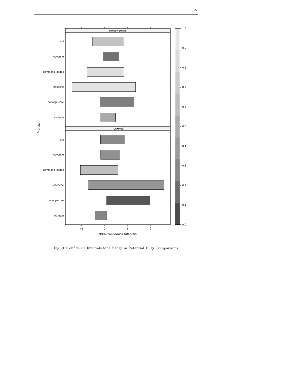

Fig. 9: Confidence Intervals for Change in Potential Bugs Comparisons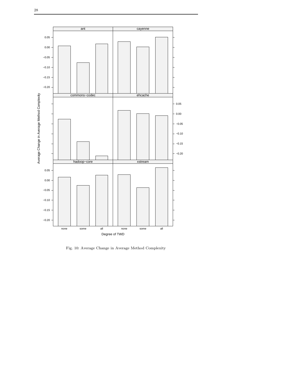

Fig. 10: Average Change in Average Method Complexity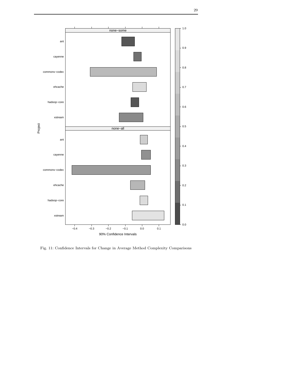

Fig. 11: Confidence Intervals for Change in Average Method Complexity Comparisons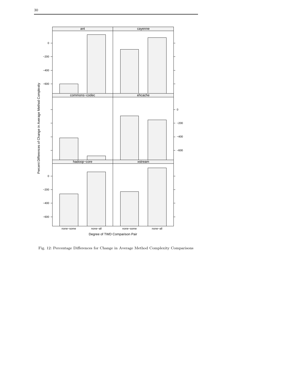

Fig. 12: Percentage Differences for Change in Average Method Complexity Comparisons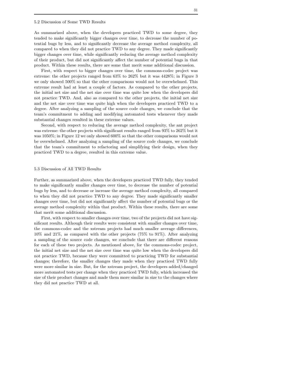# 5.2 Discussion of Some TWD Results

As summarized above, when the developers practiced TWD to some degree, they tended to make significantly bigger changes over time, to decrease the number of potential bugs by less, and to significantly decrease the average method complexity, all compared to when they did not practice TWD to any degree. They made significantly bigger changes over time, while significantly reducing the average method complexity of their product, but did not significantly affect the number of potential bugs in that product. Within these results, there are some that merit some additional discussion.

First, with respect to bigger changes over time, the commons-codec project was extreme: the other projects ranged from 63% to 262% but it was 4428%; in Figure 3 we only showed 500% so that the other comparisons would not be overwhelmed. This extreme result had at least a couple of factors. As compared to the other projects, the initial net size and the net size over time was quite low when the developers did not practice TWD. And, also as compared to the other projects, the initial net size and the net size over time was quite high when the developers practiced TWD to a degree. After analyzing a sampling of the source code changes, we conclude that the team's commitment to adding and modifying automated tests whenever they made substantial changes resulted in these extreme values.

Second, with respect to reducing the average method complexity, the ant project was extreme: the other projects with significant results ranged from 93\% to 262\% but it was 1050%; in Figure 12 we only showed 600% so that the other comparisons would not be overwhelmed. After analyzing a sampling of the source code changes, we conclude that the team's commitment to refactoring and simplifying their design, when they practiced TWD to a degree, resulted in this extreme value.

# 5.3 Discussion of All TWD Results

Further, as summarized above, when the developers practiced TWD fully, they tended to make significantly smaller changes over time, to decrease the number of potential bugs by less, and to decrease or increase the average method complexity, all compared to when they did not practice TWD to any degree. They made significantly smaller changes over time, but did not significantly affect the number of potential bugs or the average method complexity within that product. Within these results, there are some that merit some additional discussion.

First, with respect to smaller changes over time, two of the projects did not have significant results. Although their results were consistent with smaller changes over time, the commons-codec and the xstream projects had much smaller average differences, 10% and 21%, as compared with the other projects (75% to 91%). After analyzing a sampling of the source code changes, we conclude that there are different reasons for each of these two projects. As mentioned above, for the commons-codec project, the initial net size and the net size over time was quite low when the developers did not practice TWD, because they were committed to practicing TWD for substantial changes; therefore, the smaller changes they made when they practiced TWD fully were more similar in size. But, for the xstream project, the developers added/changed more automated tests per change when they practiced TWD fully, which increased the size of their product changes and made them more similar in size to the changes where they did not practice TWD at all.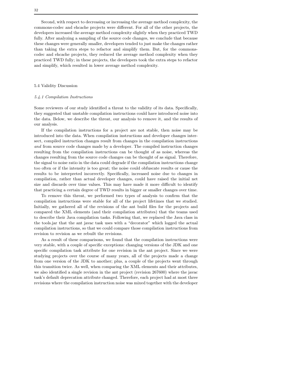Second, with respect to decreasing or increasing the average method complexity, the commons-codec and ehcache projects were different. For all of the other projects, the developers increased the average method complexity slightly when they practiced TWD fully. After analyzing a sampling of the source code changes, we conclude that because these changes were generally smaller, developers tended to just make the changes rather than taking the extra steps to refactor and simplify them. But, for the commonscodec and ehcache projects, they reduced the average method complexity when they practiced TWD fully; in these projects, the developers took the extra steps to refactor and simplify, which resulted in lower average method complexity.

# 5.4 Validity Discussion

#### 5.4.1 Compilation Instructions

Some reviewers of our study identified a threat to the validity of its data. Specifically, they suggested that unstable compilation instructions could have introduced noise into the data. Below, we describe the threat, our analysis to remove it, and the results of our analysis.

If the compilation instructions for a project are not stable, then noise may be introduced into the data. When compilation instructions and developer changes intersect, compiled instruction changes result from changes in the compilation instructions and from source code changes made by a developer. The compiled instruction changes resulting from the compilation instructions can be thought of as noise, whereas the changes resulting from the source code changes can be thought of as signal. Therefore, the signal to noise ratio in the data could degrade if the compilation instructions change too often or if the intensity is too great; the noise could obfuscate results or cause the results to be interpreted incorrectly. Specifically, increased noise due to changes in compilation, rather than actual developer changes, could have raised the initial net size and discards over time values. This may have made it more difficult to identify that practicing a certain degree of TWD results in bigger or smaller changes over time.

To remove this threat, we performed two types of analysis to confirm that the compilation instructions were stable for all of the project lifetimes that we studied. Initially, we gathered all of the revisions of the ant build files for the projects and compared the XML elements (and their compilation attributes) that the teams used to describe their Java compilation tasks. Following that, we replaced the Java class in the tools.jar that the ant javac task uses with a "decorator" which logged the actual compilation instructions, so that we could compare those compilation instructions from revision to revision as we rebuilt the revisions.

As a result of these comparisons, we found that the compilation instructions were very stable, with a couple of specific exceptions: changing versions of the JDK and one specific compilation task attribute for one revision in the ant project. Since we were studying projects over the course of many years, all of the projects made a change from one version of the JDK to another; plus, a couple of the projects went through this transition twice. As well, when comparing the XML elements and their attributes, we also identified a single revision in the ant project (revision 267600) where the javac task's default deprecation attribute changed. Therefore, each project had at most three revisions where the compilation instruction noise was mixed together with the developer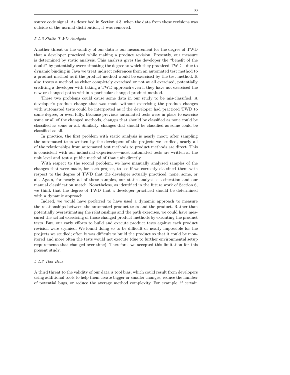# 5.4.2 Static TWD Analysis

Another threat to the validity of our data is our measurement for the degree of TWD that a developer practiced while making a product revision. Presently, our measure is determined by static analysis. This analysis gives the developer the "benefit of the doubt" by potentially overestimating the degree to which they practiced TWD—due to dynamic binding in Java we treat indirect references from an automated test method to a product method as if the product method would be exercised by the test method. It also treats a method as either completely exercised or not at all exercised, potentially crediting a developer with taking a TWD approach even if they have not exercised the new or changed paths within a particular changed product method.

These two problems could cause some data in our study to be mis-classified. A developer's product change that was made without exercising the product changes with automated tests could be interpreted as if the developer had practiced TWD to some degree, or even fully. Because previous automated tests were in place to exercise some or all of the changed methods, changes that should be classified as none could be classified as some or all. Similarly, changes that should be classified as some could be classified as all.

In practice, the first problem with static analysis is nearly moot; after sampling the automated tests written by the developers of the projects we studied, nearly all of the relationships from automated test methods to product methods are direct. This is consistent with our industrial experience—most automated tests are written at the unit level and test a public method of that unit directly.

With respect to the second problem, we have manually analyzed samples of the changes that were made, for each project, to see if we correctly classified them with respect to the degree of TWD that the developer actually practiced: none, some, or all. Again, for nearly all of these samples, our static analysis classification and our manual classification match. Nonetheless, as identified in the future work of Section 6, we think that the degree of TWD that a developer practiced should be determined with a dynamic approach.

Indeed, we would have preferred to have used a dynamic approach to measure the relationships between the automated product tests and the product. Rather than potentially overestimating the relationships and the path exercises, we could have measured the actual exercising of those changed product methods by executing the product tests. But, our early efforts to build and execute product tests against each product revision were stymied. We found doing so to be difficult or nearly impossible for the projects we studied; often it was difficult to build the product so that it could be monitored and more often the tests would not execute (due to further environmental setup requirements that changed over time). Therefore, we accepted this limitation for this present study.

# 5.4.3 Tool Bias

A third threat to the validity of our data is tool bias, which could result from developers using additional tools to help them create bigger or smaller changes, reduce the number of potential bugs, or reduce the average method complexity. For example, if certain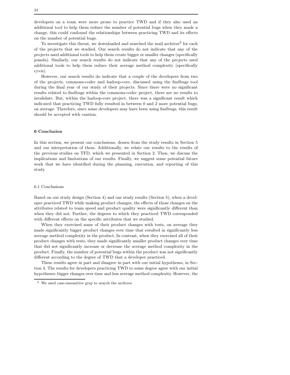developers on a team were more prone to practice TWD and if they also used an additional tool to help them reduce the number of potential bugs when they made a change, this could confound the relationships between practicing TWD and its effects on the number of potential bugs.

To investigate this threat, we downloaded and searched the mail archives<sup>2</sup> for each of the projects that we studied. Our search results do not indicate that any of the projects used additional tools to help them create bigger or smaller changes (specifically jeanda). Similarly, our search results do not indicate that any of the projects used additional tools to help them reduce their average method complexity (specifically cyvis).

However, our search results do indicate that a couple of the developers from two of the projects, commons-codec and hadoop-core, discussed using the findbugs tool during the final year of our study of their projects. Since there were no significant results related to findbugs within the commons-codec project, there are no results to invalidate. But, within the hadoop-core project, there was a significant result which indicated that practicing TWD fully resulted in between 0 and 2 more potential bugs, on average. Therefore, since some developers may have been using findbugs, this result should be accepted with caution.

# 6 Conclusion

In this section, we present our conclusions, drawn from the study results in Section 5 and our interpretation of them. Additionally, we relate our results to the results of the previous studies on TFD, which we presented in Section 2. Then, we discuss the implications and limitations of our results. Finally, we suggest some potential future work that we have identified during the planning, execution, and reporting of this study.

### 6.1 Conclusions

Based on our study design (Section 4) and our study results (Section 5), when a developer practiced TWD while making product changes, the effects of those changes on the attributes related to team speed and product quality were significantly different than when they did not. Further, the degrees to which they practiced TWD corresponded with different effects on the specific attributes that we studied.

When they exercised some of their product changes with tests, on average they made significantly bigger product changes over time that resulted in significantly less average method complexity in the product. In contrast, when they exercised all of their product changes with tests, they made significantly smaller product changes over time that did not significantly increase or decrease the average method complexity in the product. Finally, the number of potential bugs within the product was not significantly different according to the degree of TWD that a developer practiced.

These results agree in part and disagree in part with our initial hypotheses, in Section 4. The results for developers practicing TWD to some degree agree with our initial hypotheses: bigger changes over time and less average method complexity. However, the

<sup>2</sup> We used case-insensitive grep to search the archives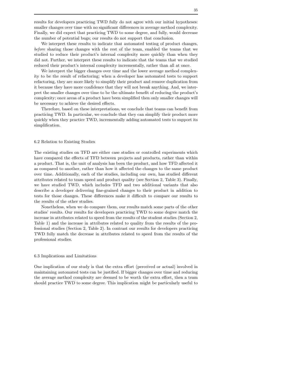results for developers practicing TWD fully do not agree with our initial hypotheses: smaller changes over time with no significant differences in average method complexity. Finally, we did expect that practicing TWD to some degree, and fully, would decrease the number of potential bugs; our results do not support that conclusion.

We interpret these results to indicate that automated testing of product changes, before sharing those changes with the rest of the team, enabled the teams that we studied to reduce their product's internal complexity more quickly than when they did not. Further, we interpret these results to indicate that the teams that we studied reduced their product's internal complexity incrementally, rather than all at once.

We interpret the bigger changes over time and the lower average method complexity to be the result of refactoring; when a developer has automated tests to support refactoring, they are more likely to simplify their product and remove duplication from it because they have more confidence that they will not break anything. And, we interpret the smaller changes over time to be the ultimate benefit of reducing the product's complexity; once areas of a product have been simplified then only smaller changes will be necessary to achieve the desired effects.

Therefore, based on these interpretations, we conclude that teams can benefit from practicing TWD. In particular, we conclude that they can simplify their product more quickly when they practice TWD, incrementally adding automated tests to support its simplification.

#### 6.2 Relation to Existing Studies

The existing studies on TFD are either case studies or controlled experiments which have compared the effects of TFD between projects and products, rather than within a product. That is, the unit of analysis has been the product, and how TFD affected it as compared to another, rather than how it affected the changes to the same product over time. Additionally, each of the studies, including our own, has studied different attributes related to team speed and product quality (see Section 2, Table 3). Finally, we have studied TWD, which includes TFD and two additional variants that also describe a developer delivering fine-grained changes to their product in addition to tests for those changes. These differences make it difficult to compare our results to the results of the other studies.

Nonetheless, when we do compare them, our results match some parts of the other studies' results. Our results for developers practicing TWD to some degree match the increase in attributes related to speed from the results of the student studies (Section 2, Table 1) and the increase in attributes related to quality from the results of the professional studies (Section 2, Table 2). In contrast our results for developers practicing TWD fully match the decrease in attributes related to speed from the results of the professional studies.

#### 6.3 Implications and Limitations

One implication of our study is that the extra effort (perceived or actual) involved in maintaining automated tests can be justified. If bigger changes over time and reducing the average method complexity are deemed to be worth the extra effort, then a team should practice TWD to some degree. This implication might be particularly useful to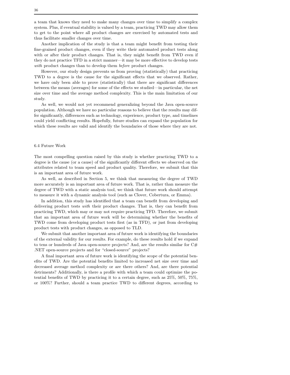a team that knows they need to make many changes over time to simplify a complex system. Plus, if eventual stability is valued by a team, practicing TWD may allow them to get to the point where all product changes are exercised by automated tests and thus facilitate smaller changes over time.

Another implication of the study is that a team might benefit from testing their fine-grained product changes, even if they write their automated product tests along with or after their product changes. That is, they might benefit from TWD even if they do not practice TFD in a strict manner—it may be more effective to develop tests with product changes than to develop them before product changes.

However, our study design prevents us from proving (statistically) that practicing TWD to a degree is the cause for the significant effects that we observed. Rather, we have only been able to prove (statistically) that there are significant differences between the means (averages) for some of the effects we studied—in particular, the net size over time and the average method complexity. This is the main limitation of our study.

As well, we would not yet recommend generalizing beyond the Java open-source population. Although we have no particular reasons to believe that the results may differ significantly, differences such as technology, experience, product type, and timelines could yield conflicting results. Hopefully, future studies can expand the population for which these results are valid and identify the boundaries of those where they are not.

#### 6.4 Future Work

The most compelling question raised by this study is whether practicing TWD to a degree is the cause (or a cause) of the significantly different effects we observed on the attributes related to team speed and product quality. Therefore, we submit that this is an important area of future work.

As well, as described in Section 5, we think that measuring the degree of TWD more accurately is an important area of future work. That is, rather than measure the degree of TWD with a static analysis tool, we think that future work should attempt to measure it with a dynamic analysis tool (such as Clover, Cobertura, or Emma).

In addition, this study has identified that a team can benefit from developing and delivering product tests with their product changes. That is, they can benefit from practicing TWD, which may or may not require practicing TFD. Therefore, we submit that an important area of future work will be determining whether the benefits of TWD come from developing product tests first (as in TFD), or just from developing product tests with product changes, as opposed to TLD.

We submit that another important area of future work is identifying the boundaries of the external validity for our results. For example, do these results hold if we expand to tens or hundreds of Java open-source projects? And, are the results similar for  $C#$ .NET open-source projects and for "closed-source" projects?

A final important area of future work is identifying the scope of the potential benefits of TWD. Are the potential benefits limited to increased net size over time and decreased average method complexity or are there others? And, are there potential detriments? Additionally, is there a profile with which a team could optimize the potential benefits of TWD by practicing it to a certain degree, such as 25%, 50%, 75%, or 100%? Further, should a team practice TWD to different degrees, according to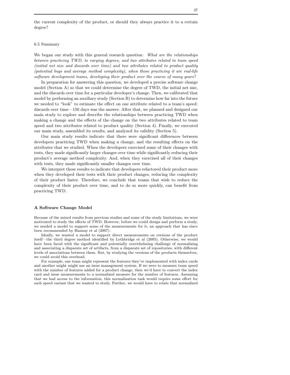the current complexity of the product, or should they always practice it to a certain degree?

# 6.5 Summary

We began our study with this general research question: What are the relationships between practicing TWD, to varying degrees, and two attributes related to team speed (initial net size and discards over time) and two attributes related to product quality  $(potential \; bugs \; and \; average \; method \; complexity), \; when \; those \; practicing \; it \; are \; real-life$ software development teams, developing their product over the course of many years?

In preparation for answering this question, we developed a precise software change model (Section A) so that we could determine the degree of TWD, the initial net size, and the discards over time for a particular developer's change. Then, we calibrated that model by performing an auxiliary study (Section B) to determine how far into the future we needed to "look" to estimate the effect on one attribute related to a team's speed: discards over time—150 days was the answer. After that, we planned and designed our main study to explore and describe the relationships between practicing TWD when making a change and the effects of the change on the two attributes related to team speed and two attributes related to product quality (Section 4). Finally, we executed our main study, assembled its results, and analyzed its validity (Section 5).

Our main study results indicate that there were significant differences between developers practicing TWD when making a change, and the resulting effects on the attributes that we studied. When the developers exercised some of their changes with tests, they made significantly larger changes over time while significantly reducing their product's average method complexity. And, when they exercised all of their changes with tests, they made significantly smaller changes over time.

We interpret these results to indicate that developers refactored their product more when they developed their tests with their product changes, reducing the complexity of their product faster. Therefore, we conclude that teams that wish to reduce the complexity of their product over time, and to do so more quickly, can benefit from practicing TWD.

# A Software Change Model

Because of the mixed results from previous studies and some of the study limitations, we were motivated to study the effects of TWD. However, before we could design and perform a study, we needed a model to support some of the measurements for it, an approach that has since been recommended by Hannay et al (2007).

Ideally, we wanted a model to support direct measurements on versions of the product itself—the third degree method identified by Lethbridge et al (2005). Otherwise, we would have been faced with the significant and potentially overwhelming challenge of normalizing and associating a disparate set of artifacts, from a disparate set of repositories, with different levels of associations between them. But, by studying the versions of the products themselves, we could avoid this overhead.

For example, one team might represent the features they've implemented with index cards and another might might use an issue management system. If we were to measure team speed with the number of features added for a product change, then we'd have to convert the index card and issue measurements to a normalized measure for the number of features. Assuming that we had access to the information, this normalization task would require some effort for each speed variant that we wanted to study. Further, we would have to relate that normalized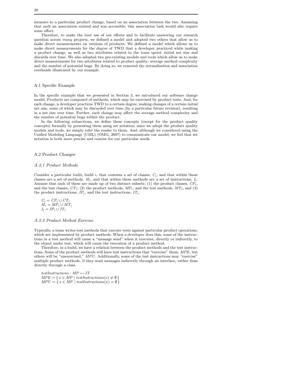38

measure to a particular product change, based on an association between the two. Assuming that such an association existed and was accessible, this association task would also require some effort.

Therefore, to make the best use of our efforts and to facilitate answering our research question across many projects, we defined a model and adopted two others that allow us to make direct measurements on versions of products. We defined a model which allows us to make direct measurements for the degree of TWD that a developer practiced while making a product change, as well as two attributes related to the team speed: initial net size and discards over time. We also adopted two pre-existing models and tools which allow us to make direct measurements for two attributes related to product quality: average method complexity and the number of potential bugs. By doing so, we removed the normalization and association overheads illustrated by our example.

# A.1 Specific Example

In the specific example that we presented in Section 3, we introduced our software change model. Products are composed of methods, which may be exercised by product tests. And, for each change, a developer practices TWD to a certain degree, making changes of a certain initial net size, some of which may be discarded over time (by a particular future revision), resulting in a net size over time. Further, each change may affect the average method complexity and the number of potential bugs within the product.

In the following subsections, we define these concepts (except for the product quality concepts) formally by presenting them using set notation; since we adopt the product quality models and tools, we simply refer the reader to them. And, although we considered using the Unified Modeling Language (UML) (OMG, 2007) to communicate our model, we feel that set notation is both more precise and concise for our particular needs.

#### A.2 Product Changes

# A.2.1 Product Methods

Consider a particular build, build  $i$ , that contains a set of classes,  $C_i$ , and that within those classes are a set of methods,  $M_i$ , and that within those methods are a set of instructions,  $I_i$ . Assume that each of these are made up of two distinct subsets: (1) the product classes,  $CP_i$ , and the test classes,  $CT_i$ ; (2) the product methods,  $MP_i$ , and the test methods,  $MT_i$ ; and (3) the product instructions,  $IP_i$ , and the test instructions,  $IT_i$ .

 $C_i = CP_i \cup CT_i$  $M_i = MP_i \cup MT_i$  $I_i = IP_i \cup IT_i$ 

#### A.2.2 Product Method Exercise

Typically, a team writes test methods that execute tests against particular product operations, which are implemented by product methods. When a developer does this, some of the instructions in a test method will cause a "message send" when it executes, directly or indirectly, to the object under test, which will cause the execution of a product method.

Therefore, in a build, we have a relation between the product methods and the test instructions. Some of the product methods will have test instructions that "exercise" them, MPE, but others will be "unexercised," MPU. Additionally, some of the test instructions may "exercise" multiple product methods, if they send messages indirectly through an interface, rather than directly through a class.

 $testInstructions$  :  $MP \leftrightarrow IT$  $MPE = \{ x \in MP \mid testInstructions(x) \neq \emptyset \}$  $MPU = \{ x \in MP \mid testInstructions(x) = \emptyset \}$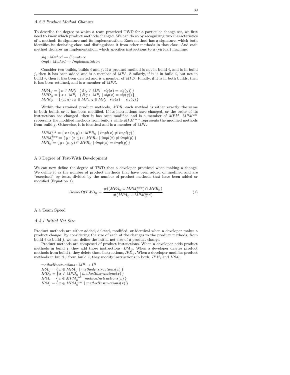#### A.2.3 Product Method Changes

To describe the degree to which a team practiced TWD for a particular change set, we first need to know which product methods changed. We can do so by recognizing two characteristics of a method: its signature and its implementation. Each method has a signature, which both identifies its declaring class and distinguishes it from other methods in that class. And each method declares an implementation, which specifies instructions to a (virtual) machine.

 $sig : Method \rightarrow Signature$  $impl$ : Method  $\rightarrow$  Implementation

Consider two builds, builds i and j. If a product method is not in build i, and is in build j, then it has been added and is a member of  $MPA$ . Similarly, if it is in build i, but not in build  $j$ , then it has been deleted and is a member of  $MPD$ . Finally, if it is in both builds, then it has been retained, and is a member of MPR.

 $MPA_{ij} = \{ x \in MP_j \mid (\not\exists y \in MP_i \mid sig(x) = sig(y)) \}$  $MPD_{ij} = \{ x \in MP_i \mid (\nexists y \in MP_j \mid sig(x) = sig(y)) \}$  $MPR_{ij} = \{ (x, y) : x \in MP_i, y \in MP_j \mid sig(x) = sig(y) \}$ 

Within the retained product methods,  $MPR$ , each method is either exactly the same in both builds or it has been modified. If its instructions have changed, or the order of its instructions has changed, then it has been modified and is a member of MPM. MPM<sup>old</sup> represents the modified methods from build i while  $MPM^{new}$  represents the modified methods from build  $j$ . Otherwise, it is identical and is a member of  $MPI$ .

$$
MPM_{ij}^{old} = \{ x : (x, y) \in MPR_{ij} \mid impl(x) \neq impl(y) \}
$$
  
\n
$$
MPM_{ij}^{new} = \{ y : (x, y) \in MPR_{ij} \mid impl(x) \neq impl(y) \}
$$
  
\n
$$
MPI_{ij} = \{ y : (x, y) \in MPR_{ij} \mid impl(x) = impl(y) \}
$$

#### A.3 Degree of Test-With Development

We can now define the degree of TWD that a developer practiced when making a change. We define it as the number of product methods that have been added or modified and are "exercised" by tests, divided by the number of product methods that have been added or modified (Equation 1).

$$
DegreeOfTWD_{ij} = \frac{\#((MPA_{ij} \cup MPM_{ij}^{new}) \cap MPE_{ij})}{\#(MPA_{ij} \cup MPM_{ij}^{new})}
$$
(1)

# A.4 Team Speed

#### A.4.1 Initial Net Size

Product methods are either added, deleted, modified, or identical when a developer makes a product change. By considering the size of each of the changes to the product methods, from build  $i$  to build  $j$ , we can define the initial net size of a product change.

Product methods are composed of product instructions. When a developer adds product methods in build j, they add those instructions,  $IPA_{ij}$ . When a developer deletes product methods from build i, they delete those instructions,  $IPD_{ij}$ . When a developer modifies product methods in build j from build i, they modify instructions in both,  $IPM_i$  and  $IPM_j$ .

 $methodInstructions: MP \rightarrow IP$  $IPA_{ij} = \{ x \in MPA_{ij} \mid methodInstructions(x) \}$  $IPD_{ij} = \{ x \in MPD_{ij} \mid methodInstructions(x) \}$  $IPM_i = \{ x \in MPM_{ij}^{old} \mid methodInstructions(x) \}$  $IPM_j = \{ x \in MPM_{ij}^{new} \mid methodInstructions(x) \}$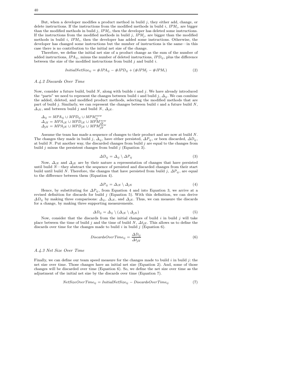But, when a developer modifies a product method in build  $j$ , they either add, change, or delete instructions. If the instructions from the modified methods in build  $i$ ,  $IPM_i$ , are bigger than the modified methods in build j,  $IPM<sub>j</sub>$ , then the developer has deleted some instructions. If the instructions from the modified methods in build j,  $IPM<sub>j</sub>$ , are bigger than the modified methods in build  $i$ ,  $IPM_i$ , then the developer has added some instructions. Otherwise, the developer has changed some instructions but the number of instructions is the same—in this case there is no contribution to the initial net size of the change.

Therefore, we define the initial net size of a product change as the sum of the number of added instructions,  $IPA_{ij}$ , minus the number of deleted instructions,  $IPP_{ij}$ , plus the difference between the size of the modified instructions from build  $j$  and build  $i$ .

$$
InitialNetSize_{ij} = \#IPA_{ij} - \# IPD_{ij} + (\#IPM_j - \#IPM_i)
$$
\n
$$
(2)
$$

#### A.4.2 Discards Over Time

Now, consider a future build, build  $N$ , along with builds  $i$  and  $j$ . We have already introduced the "parts" we need to represent the changes between build i and build j,  $\Delta_{ij}$ . We can combine the added, deleted, and modified product methods, selecting the modified methods that are part of build j. Similarly, we can represent the changes between build  $i$  and a future build  $N$ ,  $\Delta_{iN}$ , and between build j and build N,  $\Delta_{jN}$ .

$$
\Delta_{ij} = MPA_{ij} \cup MPD_{ij} \cup MPM_{ij}^{new}
$$

$$
\Delta_{iN} = MPA_{iN} \cup MPD_{iN} \cup MPM_{iN}^{new}
$$

$$
\Delta_{jN} = MPA_{jN} \cup MPD_{jN} \cup MPM_{jN}^{new}
$$

Assume the team has made a sequence of changes to their product and are now at build N. The changes they made in build j,  $\Delta_{ij}$ , have either persisted,  $\Delta P_{ij}$ , or been discarded,  $\Delta D_{ij}$ , at build  $N$ . Put another way, the discarded changes from build  $j$  are equal to the changes from build  $j$  minus the persistent changes from build  $j$  (Equation 3).

$$
\Delta D_{ij} = \Delta_{ij} \setminus \Delta P_{ij} \tag{3}
$$

Now,  $\Delta_{iN}$  and  $\Delta_{jN}$  are by their nature a representation of changes that have persisted until build N—they abstract the sequence of persisted and discarded changes from their start build until build N. Therefore, the changes that have persisted from build j,  $\Delta P_{ij}$ , are equal to the difference between them (Equation 4).

$$
\Delta P_{ij} = \Delta_{iN} \setminus \Delta_{jN} \tag{4}
$$

Hence, by substituting for  $\Delta P_{ij}$ , from Equation 4 and into Equation 3, we arrive at a revised definition for discards for build j (Equation 5). With this definition, we can derive  $\Delta D_{ij}$  by making three comparisons:  $\Delta_{ij}$ ,  $\Delta_{iN}$ , and  $\Delta_{jN}$ . Thus, we can measure the discards for a change, by making three supporting measurements.

$$
\Delta D_{ij} = \Delta_{ij} \setminus (\Delta_{iN} \setminus \Delta_{jN}) \tag{5}
$$

Now, consider that the discards from the initial changes of build  $i$  in build  $j$  will take place between the time of build j and the time of build  $N$ ,  $\Delta t_{iN}$ . This allows us to define the discards over time for the changes made to build  $i$  in build  $j$  (Equation 6).

$$
DiscardsOverTime_{ij} = \frac{\Delta D_{ij}}{\Delta t_{jN}}
$$
\n(6)

# A.4.3 Net Size Over Time

Finally, we can define our team speed measure for the changes made to build  $i$  in build  $j$ : the net size over time. Those changes have an initial net size (Equation 2). And, some of those changes will be discarded over time (Equation 6). So, we define the net size over time as the adjustment of the initial net size by the discards over time (Equation 7).

$$
NetSizeOverTime_{ij} = InitialNetSize_{ij} - DiscardsOverTime_{ij}
$$
\n(7)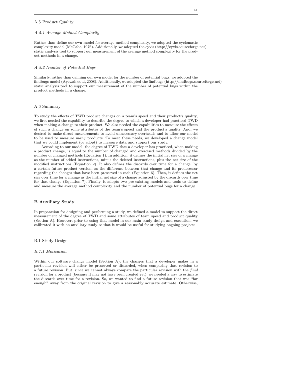#### A.5 Product Quality

# A.5.1 Average Method Complexity

Rather than define our own model for average method complexity, we adopted the cyclomatic complexity model (McCabe, 1976). Additionally, we adopted the cyvis (http://cyvis.sourceforge.net) static analysis tool to support our measurement of the average method complexity for the product methods in a change.

## A.5.2 Number of Potential Bugs

Similarly, rather than defining our own model for the number of potential bugs, we adopted the findbugs model (Ayewah et al, 2008). Additionally, we adopted the findbugs (http://findbugs.sourceforge.net) static analysis tool to support our measurement of the number of potential bugs within the product methods in a change.

#### A.6 Summary

To study the effects of TWD product changes on a team's speed and their product's quality, we first needed the capability to describe the degree to which a developer had practiced TWD when making a change to their product. We also needed the capabilities to measure the effects of such a change on some attributes of the team's speed and the product's quality. And, we desired to make direct measurements to avoid unnecessary overheads and to allow our model to be used to measure many products. To meet these needs, we developed a change model that we could implement (or adopt) to measure data and support our study.

According to our model, the degree of TWD that a developer has practiced, when making a product change, is equal to the number of changed and exercised methods divided by the number of changed methods (Equation 1). In addition, it defines the initial net size of a change as the number of added instructions, minus the deleted instructions, plus the net size of the modified instructions (Equation 2). It also defines the discards over time for a change, by a certain future product version, as the difference between that change and its predecessor regarding the changes that have been preserved in each (Equation 6). Then, it defines the net size over time for a change as the initial net size of a change adjusted by the discards over time for that change (Equation 7). Finally, it adopts two pre-existing models and tools to define and measure the average method complexity and the number of potential bugs for a change.

# B Auxiliary Study

In preparation for designing and performing a study, we defined a model to support the direct measurement of the degree of TWD and some attributes of team speed and product quality (Section A). However, prior to using that model in our main study design and execution, we calibrated it with an auxiliary study so that it would be useful for studying ongoing projects.

#### B.1 Study Design

### B.1.1 Motivation

Within our software change model (Section A), the changes that a developer makes in a particular revision will either be preserved or discarded, when comparing that revision to a future revision. But, since we cannot always compare the particular revision with the final revision for a product (because it may not have been created yet), we needed a way to estimate the discards over time for a revision. So, we wanted to find a future revision that was "far enough" away from the original revision to give a reasonably accurate estimate. Otherwise,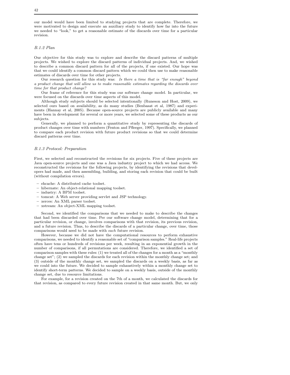our model would have been limited to studying projects that are complete. Therefore, we were motivated to design and execute an auxiliary study to identify how far into the future we needed to "look," to get a reasonable estimate of the discards over time for a particular revision.

# B.1.2 Plan

Our objective for this study was to explore and describe the discard patterns of multiple projects. We wished to explore the discard patterns of individual projects. And, we wished to describe a common discard pattern for all of the projects, if one existed. Our hope was that we could identify a common discard pattern which we could then use to make reasonable estimates of discards over time for other projects.

Our research question for this study was: Is there a time that is "far enough" beyond a product change that will allow us to make reasonable estimates regarding the discards over time for that product change?

Our frame of reference for this study was our software change model. In particular, we were focused on the discards over time aspects of this model.

Although study subjects should be selected intentionally (Runeson and Host, 2009), we selected ours based on availability, as do many studies (Benbasat et al, 1987) and experiments (Hannay et al, 2005). Because open-source projects are publicly available and many have been in development for several or more years, we selected some of these products as our subjects.

Generally, we planned to perform a quantitative study by representing the discards of product changes over time with numbers (Fenton and Pfleeger, 1997). Specifically, we planned to compare each product revision with future product revisions so that we could determine discard patterns over time.

### B.1.3 Protocol: Preparation

First, we selected and reconstructed the revisions for six projects. Five of these projects are Java open-source projects and one was a Java industry project to which we had access. We reconstructed the revisions for the following projects, by identifying the revisions that developers had made, and then assembling, building, and storing each revision that could be built (without compilation errors).

- ehcache: A distributed cache toolset.
- hibernate: An object-relational mapping toolset.
- industry: A BPM toolset.
- tomcat: A Web server providing servlet and JSP technology.
- xerces: An XML parser toolset.
- xstream: An object-XML mapping toolset.

Second, we identified the comparisons that we needed to make to describe the changes that had been discarded over time. Per our software change model, determining that for a particular revision, or change, involves comparisons with that revision, its previous revision, and a future revision. Thus, to describe the discards of a particular change, over time, those comparisons would need to be made with each future revision.

However, because we did not have the computational resources to perform exhaustive comparisons, we needed to identify a reasonable set of "comparison samples." Real-life projects often have tens or hundreds of revisions per week, resulting in an exponential growth in the number of comparisons, if all permutations are considered. Therefore, we identified a set of comparison samples with these rules: (1) we treated all of the changes for a month as a "monthly change set"; (2) we sampled the discards for each revision within the monthly change set; and (3) outside of the monthly change set, we sampled the discards on a weekly basis, as far as we could into the future. We decided to sample exhaustively within a monthly change set to identify short-term patterns. We decided to sample on a weekly basis, outside of the monthly change set, due to resource limitations.

For example, for a revision created on the 7th of a month, we calculated the discards for that revision, as compared to every future revision created in that same month. But, we only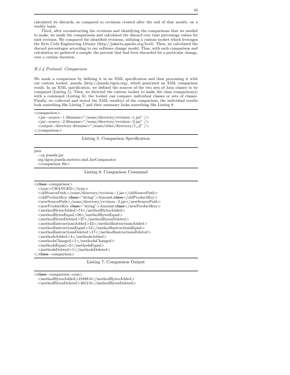calculated its discards, as compared to revisions created after the end of that month, on a weekly basis.

Third, after reconstructing the revisions and identifying the comparisons that we needed to make, we made the comparisons and calculated the discard over time percentage values for each revision. We compared the identified revisions, utilizing a custom toolset which leverages the Byte Code Engineering Library (http://jakarta.apache.org/bcel). Then, we calculated the discard percentages according to our software change model. Thus, with each comparison and calculation we gathered a sample: the percent that had been discarded for a particular change, over a certain duration.

# B.1.4 Protocol: Comparison

We made a comparison by defining it in an XML specification and then processing it with our custom toolset, jeanda (http://jeanda.tigris.org), which generated an XML comparison result. In an XML specification, we defined the sources of the two sets of Java classes to be compared (Listing 5). Then, we directed the custom toolset to make the class comparison(s) with a command (Listing 6); the toolset can compare individual classes or sets of classes. Finally, we collected and stored the XML result(s) of the comparison; the individual results look something like Listing 7 and their summary looks something like Listing 8

```
<comparison>
```

```
<jar−source−1 filename="/some/directory/revision−1.jar" />
 <jar−source−2 filename="/some/directory/revision−2.jar" />
  <output−directory dirname="/some/other/directory/1 2" />
</comparison>
```
Listing 5: Comparison Specification

java −cp jeanda.jar org.tigris.jeanda.metrics.cmd.JarComparator <comparison file>

# Listing 6: Comparison Command

<class−comparison> <type>CHANGED</type> <oldSourcePath>/some/directory/revision−1.jar</oldSourcePath> <oldProductKey class="string">Amount.class</oldProductKey> <newSourcePath>/some/directory/revision−2.jar</newSourcePath> <newProductKey class="string">Amount.class</newProductKey>  $<\!\!{\rm methodBytesAdded}\!>\!74\!<\!/\rm{methodBytesAdded}\!>\!$ <methodBytesEqual>20</methodBytesEqual>  $<\!\!{\rm methodBytesDeleted}\!>\!27\!\!<\!\!/{\rm methodBytesDeleted}\!>\!\!$ <methodInstructionsAdded>42</methodInstructionsAdded>  $<$ methodInstructionsEqual>12</methodInstructionsEqual> <methodInstructionsDeleted>17</methodInstructionsDeleted> <methodsAdded>4</methodsAdded> <methodsChanged>1</methodsChanged> <methodsEqual>2</methodsEqual> <methodsDeleted>1</methodsDeleted> </class−comparison>

# Listing 7: Comparison Output

<class−comparison−sum> <methodBytesAdded>21888.0</methodBytesAdded> <methodBytesDeleted>4012.0</methodBytesDeleted>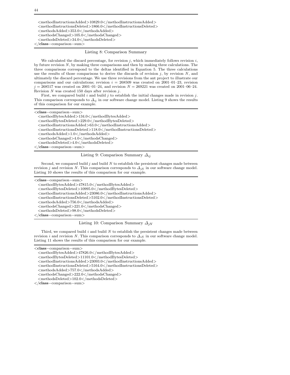<methodsDeleted>34.0</methodsDeleted>

</class−comparison−sum>

# Listing 8: Comparison Summary

We calculated the discard percentage, for revision  $j$ , which immediately follows revision  $i$ , by future revision  $N$ , by making three comparisons and then by making three calculations. The three comparisons correspond to the deltas identified in Equation 5. The three calculations use the results of those comparisons to derive the discards of revision  $j$ , by revision  $N$ , and ultimately the discard percentage. We use three revisions from the ant project to illustrate our comparisons and our calculations; revision  $i = 268509$  was created on 2001–01–23, revision  $j = 268517$  was created on 2001–01–24, and revision  $N = 269221$  was created on 2001–06–24. Revision  $N$  was created 150 days after revision  $j$ .

First, we compared build  $i$  and build  $j$  to establish the initial changes made in revision  $j$ . This comparison corresponds to  $\Delta_{ij}$  in our software change model. Listing 9 shows the results of this comparison for our example.

| $\langle class-comparison-sum \rangle$ |  |
|----------------------------------------|--|
|                                        |  |
|                                        |  |

<methodBytesAdded>134.0</methodBytesAdded>

<methodBytesDeleted>229.0</methodBytesDeleted>

<methodInstructionsAdded>63.0</methodInstructionsAdded>

<methodInstructionsDeleted>118.0</methodInstructionsDeleted>

<methodsAdded>1.0</methodsAdded>

<methodsChanged>4.0</methodsChanged>

<methodsDeleted>4.0</methodsDeleted>

</class−comparison−sum>

# Listing 9: Comparison Summary  $\Delta_{ij}$

Second, we compared build  $j$  and build  $N$  to establish the persistent changes made between revision j and revision N. This comparison corresponds to  $\Delta_{jN}$  in our software change model. Listing 10 shows the results of this comparison for our example.

| $\langle class-comparison-sum \rangle$ |
|----------------------------------------|
|                                        |

<methodBytesAdded>47815.0</methodBytesAdded>

<methodBytesDeleted>10995.0</methodBytesDeleted>

<methodInstructionsAdded>23086.0</methodInstructionsAdded>

<methodInstructionsDeleted>5102.0</methodInstructionsDeleted>

<methodsAdded>756.0</methodsAdded>

<methodsChanged>221.0</methodsChanged>

<methodsDeleted>98.0</methodsDeleted>

</class−comparison−sum>

# Listing 10: Comparison Summary  $\Delta_{jN}$

Third, we compared build  $i$  and build  $N$  to establish the persistent changes made between revision i and revision N. This comparison corresponds to  $\Delta_{iN}$  in our software change model. Listing 11 shows the results of this comparison for our example.

<class−comparison−sum>

<methodBytesAdded>47826.0</methodBytesAdded>

<methodInstructionsDeleted>5164.0</methodInstructionsDeleted>

<methodsAdded>757.0</methodsAdded>

<methodsChanged>222.0</methodsChanged>

<methodsDeleted>102.0</methodsDeleted>

</class−comparison−sum>

<sup>&</sup>lt;methodBytesDeleted>11101.0</methodBytesDeleted>

<sup>&</sup>lt;methodInstructionsAdded>23093.0</methodInstructionsAdded>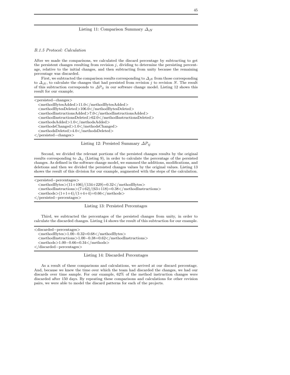# B.1.5 Protocol: Calculation

After we made the comparisons, we calculated the discard percentage by subtracting to get the persistent changes resulting from revision  $j$ , dividing to determine the persisting percentage, relative to the initial changes, and then subtracting from unity because the remaining percentage was discarded.

First, we subtracted the comparison results corresponding to  $\Delta_{jN}$  from those corresponding to  $\Delta_{iN}$ , to calculate the changes that had persisted from revision j to revision N. The result of this subtraction corresponds to  $\Delta P_{ij}$  in our software change model. Listing 12 shows this result for our example.

| $<$ persisted-changes>                                        |
|---------------------------------------------------------------|
| <methodbytesadded>11.0</methodbytesadded>                     |
| <methodbytesdeleted>106.0</methodbytesdeleted>                |
| <methodinstructionsadded>7.0</methodinstructionsadded>        |
| <methodinstructionsdeleted>62.0</methodinstructionsdeleted>   |
| <methodsadded>1.0</methodsadded>                              |
| $\langle$ methodsChanged $>1.0$ $\langle$ /methodsChanged $>$ |
| <methodsdeleted>4.0</methodsdeleted>                          |
| $\langle$ /persisted-changes>                                 |
|                                                               |

Listing 12: Persisted Summary  $\Delta P_{ij}$ 

Second, we divided the relevant portions of the persisted changes results by the original results corresponding to  $\Delta_{ij}$  (Listing 9), in order to calculate the percentage of the persisted changes. As defined in the software change model, we summed the additions, modifications, and deletions and then we divided the persisted changes values by the original values. Listing 13 shows the result of this division for our example, augmented with the steps of the calculation.

```
<persisted−percentages>
  <methodBytes>(11+106)/(134+229)=0.32</methodBytes>
  \langle\text{methodInstructions}|\rangle(7+62)/(63+118)=0.38\langle/\text{methodInstructions}\rangle\text{<}methods\text{>}(1+1+4)/(1+4+4)=0.66\text{<}/methods\text{>}</persisted−percentages>
```
# Listing 13: Persisted Percentages

Third, we subtracted the percentages of the persisted changes from unity, in order to calculate the discarded changes. Listing 14 shows the result of this subtraction for our example.

```
<discarded−percentages>
 <methodBytes>1.00−0.32=0.68</methodBytes>
 <methodInstructions>1.00−0.38=0.62</methodInstructions>
 <methods>1.00−0.66=0.34</methods>
</discarded−percentages>
                        Listing 14: Discarded Percentages
```
As a result of these comparisons and calculations, we arrived at our discard percentage. And, because we knew the time over which the team had discarded the changes, we had our discards over time sample. For our example, 62% of the method instruction changes were discarded after 150 days. By repeating these comparisons and calculations for other revision pairs, we were able to model the discard patterns for each of the projects.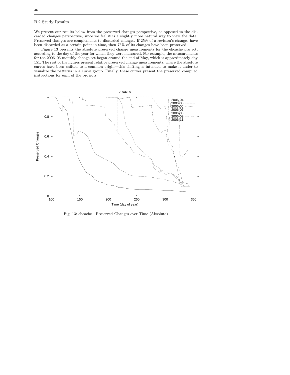We present our results below from the preserved changes perspective, as opposed to the discarded changes perspective, since we feel it is a slightly more natural way to view the data. Preserved changes are complements to discarded changes. If 25% of a revision's changes have been discarded at a certain point in time, then 75% of its changes have been preserved.

Figure 13 presents the absolute preserved change measurements for the ehcache project, according to the day of the year for which they were measured. For example, the measurements for the 2006–06 monthly change set began around the end of May, which is approximately day 151. The rest of the figures present relative preserved change measurements, where the absolute curves have been shifted to a common origin—this shifting is intended to make it easier to visualize the patterns in a curve group. Finally, these curves present the preserved compiled instructions for each of the projects.



Fig. 13: ehcache—Preserved Changes over Time (Absolute)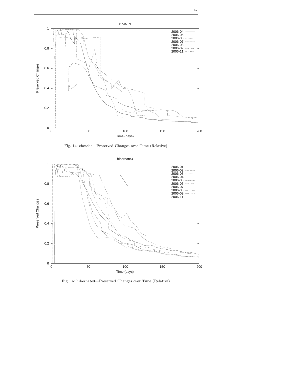

Fig. 14: ehcache—Preserved Changes over Time (Relative)



Fig. 15: hibernate3—Preserved Changes over Time (Relative)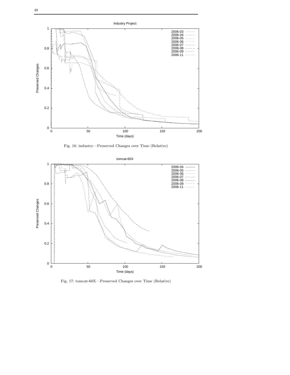

Fig. 16: industry—Preserved Changes over Time (Relative)



Fig. 17: tomcat-60X—Preserved Changes over Time (Relative)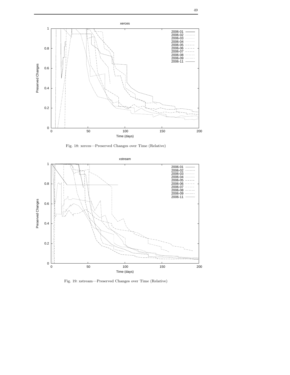

Fig. 18: xerces—Preserved Changes over Time (Relative)



Fig. 19: xstream—Preserved Changes over Time (Relative)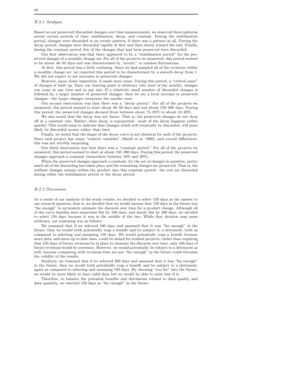#### B.2.1 Analysis

Based on our preserved/discarded changes over time measurements, we observed three patterns across certain periods of time: stabilization, decay, and constant. During the stabilization period, changes were discarded in an erratic pattern, if there was a pattern at all. During the decay period, changes were discarded rapidly at first and then slowly toward the end. Finally, during the constant period, few of the changes that had been preserved were discarded.

Our first observation was that there appeared to be a "stabilization period" for the preserved changes of a monthly change set. For all of the projects we measured, this period seemed to be about 40–50 days and was characterized by "erratic" or random fluctuations.

At first, this period was a little confusing. Since we had sampled all of the revisions within a monthly change set, we expected this period to be characterized by a smooth decay from 1. We did not expect to see increases in preserved changes.

However, upon closer inspection, it made more sense. During this period, a "critical mass" of changes is built up. Since our starting point is arbitrary (the start of the month), changes can come at any time and in any size. If a relatively small number of discarded changes is followed by a larger number of preserved changes, then we see a local increase in preserved changes—the larger changes overpower the smaller ones.

Our second observation was that there was a "decay period." For all of the projects we measured, this period seemed to start about 40–50 days and end about 150–200 days. During this period, the preserved changes decayed from between about 75–95% to about 10–20%.

We also noted that the decay was not linear. That is, the preserved changes do not drop off at a constant rate. Rather, their decay is exponential—most of the decay happens rather quickly. This would seem to indicate that changes which will eventually be discarded, will more likely be discarded sooner rather than later.

Finally, we noted that the shape of the decay curve is not identical for each of the projects. Since each project has many "context variables" (Basili et al, 1986), and overall differences, this was not terribly surprising.

Our third observation was that there was a "constant period." For all of the projects we measured, this period seemed to start at about 150–200 days. During this period, the preserved changes approach a constant (somewhere between 10% and 20%).

When the preserved changes approach a constant, for the set of changes in question, pretty much all of the discarding has taken place and the remaining changes are preserved. That is, the resilient changes remain within the product into this constant period—the rest are discarded during either the stabilization period or the decay period.

#### B.2.2 Discussion

As a result of our analysis of the study results, we decided to select 150 days as the answer to our research question; that is, we decided that we would assume that 150 days in the future was "far enough" to accurately estimate the discards over time for a product change. Although all of the curve families were somewhat flat by 100 days, and nearly flat by 200 days, we decided to select 150 days because it was in the middle of the two. While that decision may seem arbitrary, our reasoning was as follows:

We reasoned that if we selected 100 days and assumed that it was "far enough" in the future, then we would both potentially reap a benefit and be subject to a detriment, both as compared to selecting and assuming 150 days. We would potentially reap a benefit because more data, and more up to date data, could be mined for studied projects; rather than requiring that 150 days of future revisions be in place to measure the discards over time, only 100 days of future revisions would be necessary. However, we would potentially be subject to a detriment as well, because comparing with revisions that are not "far enough" in the future could threaten the validity of the results.

Similarly, we reasoned that if we selected 200 days and assumed that it was "far enough" in the future, then we would both potentially reap a benefit and be subject to a detriment, again as compared to selecting and assuming 150 days. By choosing "too far" into the future, we would be more likely to have valid data but we would be able to mine less of it.

Therefore, to balance the potential benefits and detriments related to data quality and data quantity, we selected 150 days as "far enough" in the future.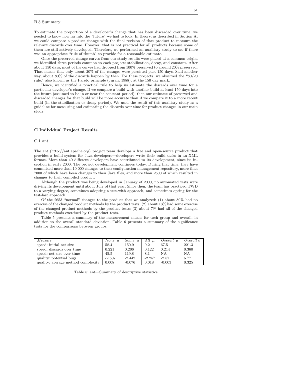#### B.3 Summary

To estimate the proportion of a developer's change that has been discarded over time, we needed to know how far into the "future" we had to look. In theory, as described in Section A, we could compare a product change with the final revision of that product to measure the relevant discards over time. However, that is not practical for all products because some of them are still actively developed. Therefore, we performed an auxiliary study to see if there was an appropriate "rule of thumb" to provide for a reasonable estimate.

Once the preserved change curves from our study results were placed at a common origin, we identified three periods common to each project: stabilization, decay, and constant. After about 150 days, most of the curves had dropped from 100% preserved to around 20% preserved. That means that only about 20% of the changes were persisted past 150 days. Said another way, about 80% of the discards happen by then. For these projects, we observed the "80/20 rule," also known as the Pareto principle (Juran, 1988), at the 150 day mark.

Hence, we identified a practical rule to help us estimate the discards over time for a particular developer's change. If we compare a build with another build at least 150 days into the future (assumed to be in or near the constant period), then our estimate of preserved and discarded changes for that build will be more accurate than if we compare it to a more recent build (in the stabilization or decay period). We used the result of this auxiliary study as a guideline for measuring and estimating the discards over time for product changes in our main study.

# C Individual Project Results

#### C.1 ant

The ant (http://ant.apache.org) project team develops a free and open-source product that provides a build system for Java developers—developers write their build tasks in an XML format. More than 40 different developers have contributed to its development, since its inception in early 2000. The project development continues today. During that time, they have committed more than 10 000 changes to their configuration management repository, more than 7000 of which have been changes to their Java files, and more than 2600 of which resulted in changes to their compiled product.

Although the product was being developed in January of 2000, no automated tests were driving its development until about July of that year. Since then, the team has practiced TWD to a varying degree, sometimes adopting a test-with approach, and sometimes opting for the test-last approach.

Of the 2653 "normal" changes to the product that we analyzed: (1) about 80% had no exercise of the changed product methods by the product tests; (2) about 13% had some exercise of the changed product methods by the product tests; (3) about 7% had all of the changed product methods exercised by the product tests.

Table 5 presents a summary of the measurement means for each group and overall, in addition to the overall standard deviation. Table 6 presents a summary of the significance tests for the comparisons between groups.

| Measure                            | $None \mu$ | $Some \mu$ | All и    | Overall u | Overall $\sigma$ |
|------------------------------------|------------|------------|----------|-----------|------------------|
| speed: initial net size            | 58.4       | 150.9      | 9.2      | 67.5      | 221.3            |
| speed: discards over time          | 0.221      | 0.206      | 0.122    | 0.214     | 0.360            |
| speed: net size over time          | 45.5       | 119.8      | 8.1      | <b>NA</b> | NΑ               |
| quality: potential bugs            | $-2.607$   | $-2.442$   | $-2.257$ | $-2.57$   | 5.77             |
| quality: average method complexity | 0.008      | $-0.076$   | 0.018    | $-0.003$  | 0.325            |

Table 5: ant—Summary of descriptive statistics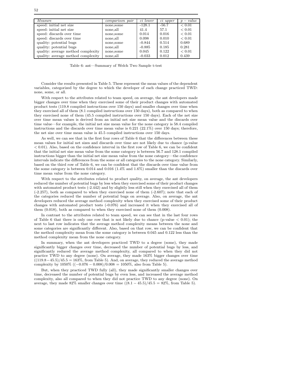| Measure                            | comparison pair | ci lower | $ci$ upper | $p-value$  |
|------------------------------------|-----------------|----------|------------|------------|
| speed: initial net size            | none, some      | $-128.1$ | $-56.7$    | ${}< 0.01$ |
| speed: initial net size            | none, all       | 41.4     | 57.1       | ${}< 0.01$ |
| speed: discards over time          | none, some      | 0.014    | 0.016      | ${}< 0.01$ |
| speed: discards over time          | none, all       | 0.098    | 0.010      | ${}< 0.01$ |
| quality: potential bugs            | none, some      | $-0.844$ | 0.514      | 0.689      |
| quality: potential bugs            | none.all        | $-0.885$ | 0.185      | 0.281      |
| quality: average method complexity | none, some      | 0.045    | 0.122      | ${}< 0.01$ |
| quality: average method complexity | none.all        | $-0.033$ | 0.012      | 0.439      |

Table 6: ant—Summary of Welch Two Sample t-test

Consider the results presented in Table 5. These represent the mean values of the dependent variables, categorized by the degree to which the developer of each change practiced TWD: none, some, or all.

With respect to the attributes related to team speed, on average, the ant developers made bigger changes over time when they exercised some of their product changes with automated product tests (119.8 compiled instructions over 150 days) and smaller changes over time when they exercised all of them (8.1 compiled instructions over 150 days), both as compared to when they exercised none of them (45.5 compiled instructions over 150 days). Each of the net size over time mean values is derived from an initial net size mean value and the discards over time value—for example, the initial net size mean value for the none category is 58.4 compiled instructions and the discards over time mean value is  $0.221$   $(22.1\%)$  over 150 days; therefore, the net size over time mean value is 45.5 compiled instructions over 150 days.

As well, we can see that in the first four rows of Table 6 that the differences between these mean values for initial net sizes and discards over time are not likely due to chance (p-value  $< 0.01$ ). Also, based on the confidence interval in the first row of Table 6, we can be confident that the initial net size mean value from the some category is between 56.7 and 128.1 compiled instructions bigger than the initial net size mean value from the none category—the confidence intervals indicate the differences from the some or all categories to the none category. Similarly, based on the third row of Table 6, we can be confident that the discards over time value from the some category is between 0.014 and 0.016 (1.4% and 1.6%) smaller than the discards over time mean value from the none category.

With respect to the attributes related to product quality, on average, the ant developers reduced the number of potential bugs by less when they exercised some of their product changes with automated product tests (-2.442) and by slightly less still when they exercised all of them (-2.257), both as compared to when they exercised none of them (-2.607); note that each of the categories reduced the number of potential bugs on average. Also, on average, the ant developers reduced the average method complexity when they exercised some of their product changes with automated product tests (-0.076) and increased it when they exercised all of them (0.018), both as compared to when they exercised none of them (0.008).

In contrast to the attributes related to team speed, we can see that in the last four rows of Table 6 that there is only one row that is not likely due to chance (p-value  $\lt$  0.01); the next to last row indicates that the average method complexity means between the none and some categories are significantly different. Also, based on that row, we can be confident that the method complexity mean from the some category is between 0.045 and 0.122 less than the method complexity mean from the none category.

In summary, when the ant developers practiced TWD to a degree (some), they made significantly bigger changes over time, decreased the number of potential bugs by less, and significantly reduced the average method complexity, all compared to when they did not practice TWD to any degree (none). On average, they made 163% bigger changes over time  $((119.8-45.5)/45.5 = 163\%,$  from Table 5). And, on average, they reduced the average method complexity by  $1050\%$  (( $-0.076 - 0.008$ )/ $0.008 = 1050\%$ , also from Table 5).

But, when they practiced TWD fully (all), they made significantly smaller changes over time, decreased the number of potential bugs by even less, and increased the average method complexity, also all compared to when they did not practice TWD to any degree (none). On average, they made 82% smaller changes over time  $((8.1 - 45.5)/45.5 = 82\%$ , from Table 5).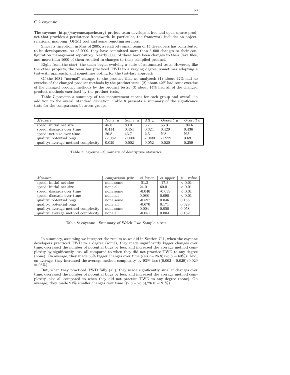#### C.2 cayenne

The cayenne (http://cayenne.apache.org) project team develops a free and open-source product that provides a persistence framework. In particular, the framework includes an objectrelational mapping (ORM) tool and some remoting services.

Since its inception, in May of 2005, a relatively small team of 14 developers has contributed to its development. As of 2009, they have committed more than 6 000 changes to their configuration management repository. Nearly 3000 of these have been changes to their Java files, and more than 1600 of them resulted in changes to their compiled product.

Right from the start, the team began evolving a suite of automated tests. However, like the other projects, the team has practiced TWD to a varying degree, sometimes adopting a test-with approach, and sometimes opting for the test-last approach.

Of the 1681 "normal" changes to the product that we analyzed: (1) about 42% had no exercise of the changed product methods by the product tests; (2) about 42% had some exercise of the changed product methods by the product tests; (3) about 14% had all of the changed product methods exercised by the product tests.

Table 7 presents a summary of the measurement means for each group and overall, in addition to the overall standard deviation. Table 8 presents a summary of the significance tests for the comparisons between groups.

| Measure                            | None<br>$_{LL}$ | Some u   | All и    | Overall<br>II | Overall $\sigma$ |
|------------------------------------|-----------------|----------|----------|---------------|------------------|
| speed: initial net size            | 45.8            | 80.0     | 3.7      | 55.3          | 194.6            |
| speed: discards over time          | 0.414           | 0.454    | 0.324    | 0.420         | 0.436            |
| speed: net size over time          | 26.8            | 43.7     | 2.5      | <b>NA</b>     | <b>NA</b>        |
| quality: potential bugs            | $-2.082$        | $-1.806$ | $-1.833$ | $-1.929$      | 3.69             |
| quality: average method complexity | 0.029           | 0.002    | 0.052    | 0.020         | 0.259            |

Table 7: cayenne—Summary of descriptive statistics

| Measure                            | comparison pair | ci lower | $ci$ upper | $- value$  |
|------------------------------------|-----------------|----------|------------|------------|
| speed: initial net size            | none, some      | $-51.3$  | $-17.3$    | ${}< 0.01$ |
| speed: initial net size            | none, all       | 24.0     | 60.0       | ${}< 0.01$ |
| speed: discards over time          | none, some      | $-0.040$ | $-0.039$   | ${}< 0.01$ |
| speed: discards over time          | none.all        | 0.088    | 0.090      | ${}< 0.01$ |
| quality: potential bugs            | none, some      | $-0.597$ | 0.046      | 0.158      |
| quality: potential bugs            | none.all        | $-0.670$ | 0.171      | 0.329      |
| quality: average method complexity | none, some      | 0.004    | 0.050      | 0.058      |
| quality: average method complexity | none.all        | $-0.051$ | 0.004      | 0.162      |

Table 8: cayenne—Summary of Welch Two Sample t-test

In summary, assuming we interpret the results as we did in Section C.1, when the cayenne developers practiced TWD to a degree (some), they made significantly bigger changes over time, decreased the number of potential bugs by less, and increased the average method complexity by significantly less, all compared to when they did not practice TWD to any degree (none). On average, they made 63% bigger changes over time  $((43.7-26.8)/26.8 = 63\%)$ . And, on average, they increased the average method complexity by  $93\%$  less  $((0.002 - 0.029)/0.029$  $= 93\%$ ).

But, when they practiced TWD fully (all), they made significantly smaller changes over time, decreased the number of potential bugs by less, and increased the average method complexity, also all compared to when they did not practice TWD to any degree (none). On average, they made  $91\%$  smaller changes over time  $((2.5-26.8)/26.8=91\%).$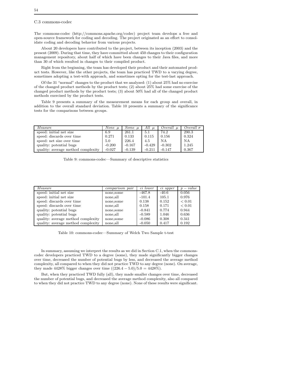#### C.3 commons-codec

The commons-codec (http://commons.apache.org/codec) project team develops a free and open-source framework for coding and decoding. The project originated as an effort to consolidate coding and decoding behavior from various projects.

About 20 developers have contributed to the project, between its inception (2003) and the present (2009). During that time, they have committed about 450 changes to their configuration management repository, about half of which have been changes to their Java files, and more than 30 of which resulted in changes to their compiled product.

Right from the beginning, the team has developed their product and their automated product tests. However, like the other projects, the team has practiced TWD to a varying degree, sometimes adopting a test-with approach, and sometimes opting for the test-last approach.

Of the 31 "normal" changes to the product that we analyzed: (1) about 25% had no exercise of the changed product methods by the product tests; (2) about 25% had some exercise of the changed product methods by the product tests; (3) about 50% had all of the changed product methods exercised by the product tests.

Table 9 presents a summary of the measurement means for each group and overall, in addition to the overall standard deviation. Table 10 presents a summary of the significance tests for the comparisons between groups.

| Measure                            | $None \mu$ | Some u   | All и    | Overall<br>II | Overall $\sigma$ |
|------------------------------------|------------|----------|----------|---------------|------------------|
| speed: initial net size            | 6.9        | 261.1    | 5.1      | 74.2          | 290.3            |
| speed: discards over time          | 0.271      | 0.133    | 0.115    | 0.156         | 0.324            |
| speed: net size over time          | 5.0        | 226.4    | 4.5      | <b>NA</b>     | NΑ               |
| quality: potential bugs            | $-0.200$   | $-0.167$ | $-0.429$ | $-0.302$      | 1.245            |
| quality: average method complexity | $-0.027$   | $-0.139$ | $-0.211$ | $-0.147$      | 0.367            |

Table 9: commons-codec—Summary of descriptive statistics

| Measure                            | comparison pair | ci lower | $ci$ upper | $p-value$  |
|------------------------------------|-----------------|----------|------------|------------|
| speed: initial net size            | none, some      | $-467.8$ | $-40.6$    | 0.056      |
| speed: initial net size            | none.all        | $-101.4$ | 105.1      | 0.976      |
| speed: discards over time          | none, some      | 0.138    | 0.152      | ${}< 0.01$ |
| speed: discards over time          | none.all        | 0.158    | 0.171      | ${}< 0.01$ |
| quality: potential bugs            | none, some      | $-0.841$ | 0.774      | 0.944      |
| quality: potential bugs            | none.all        | $-0.589$ | 1.046      | 0.636      |
| quality: average method complexity | none, some      | $-0.086$ | 0.308      | 0.341      |
| quality: average method complexity | none.all        | $-0.050$ | 0.417      | 0.192      |

Table 10: commons-codec—Summary of Welch Two Sample t-test

In summary, assuming we interpret the results as we did in Section C.1, when the commonscodec developers practiced TWD to a degree (some), they made significantly bigger changes over time, decreased the number of potential bugs by less, and decreased the average method complexity, all compared to when they did not practice TWD to any degree (none). On average, they made 4428% bigger changes over time  $((226.4 - 5.0)/5.0 = 4428\%).$ 

But, when they practiced TWD fully (all), they made smaller changes over time, decreased the number of potential bugs, and decreased the average method complexity, also all compared to when they did not practice TWD to any degree (none). None of these results were significant.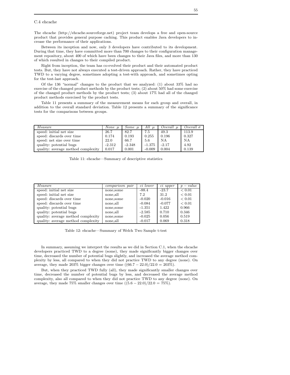#### C.4 ehcache

The ehcache (http://ehcache.sourceforge.net) project team develops a free and open-source product that provides general purpose caching. This product enables Java developers to increase the performance of their applications.

Between its inception and now, only 3 developers have contributed to its development. During that time, they have committed more than 700 changes to their configuration management repository, about 400 of which have been changes to their Java files, and more than 130 of which resulted in changes to their compiled product.

Right from inception, the team has co-evolved their product and their automated product tests. But, they have not always executed a test-driven approach. Rather, they have practiced TWD to a varying degree, sometimes adopting a test-with approach, and sometimes opting for the test-last approach.

Of the 136 "normal" changes to the product that we analyzed: (1) about 33% had no exercise of the changed product methods by the product tests; (2) about 50% had some exercise of the changed product methods by the product tests; (3) about 17% had all of the changed product methods exercised by the product tests.

Table 11 presents a summary of the measurement means for each group and overall, in addition to the overall standard deviation. Table 12 presents a summary of the significance tests for the comparisons between groups.

| Measure                            | $None \mu$ | Some u   | All $\mu$ | $Overall \mu$ | Overall $\sigma$ |
|------------------------------------|------------|----------|-----------|---------------|------------------|
| speed: initial net size            | 26.7       | 82.7     | 7.5       | 49.3          | 113.9            |
| speed: discards over time          | 0.174      | 0.193    | 0.255     | 0.196         | 0.327            |
| speed: net size over time          | 22.0       | 66.7     | 5.6       | N A           | NΑ               |
| quality: potential bugs            | $-2.312$   | $-2.348$ | $-1.375$  | $-2.17$       | 4.92             |
| quality: average method complexity | 0.017      | 0.001    | $-0.009$  | 0.004         | 0.139            |

Table 11: ehcache—Summary of descriptive statistics

| Measure                            | comparison pair | ci lower | ci upper | $p-value$  |
|------------------------------------|-----------------|----------|----------|------------|
| speed: initial net size            | none, some      | $-88.4$  | $-23.7$  | ${}< 0.01$ |
| speed: initial net size            | none.all        | 7.2      | 31.2     | ${}< 0.01$ |
| speed: discards over time          | none, some      | $-0.020$ | $-0.016$ | ${}< 0.01$ |
| speed: discards over time          | none, all       | $-0.084$ | $-0.077$ | ${}< 0.01$ |
| quality: potential bugs            | none, some      | $-1.351$ | 1.422    | 0.966      |
| quality: potential bugs            | none, all       | $-2.585$ | 0.710    | 0.346      |
| quality: average method complexity | none, some      | $-0.025$ | 0.056    | 0.519      |
| quality: average method complexity | none.all        | $-0.017$ | 0.069    | 0.318      |

Table 12: ehcache—Summary of Welch Two Sample t-test

In summary, assuming we interpret the results as we did in Section C.1, when the ehcache developers practiced TWD to a degree (some), they made significantly bigger changes over time, decreased the number of potential bugs slightly, and increased the average method complexity by less, all compared to when they did not practice TWD to any degree (none). On average, they made 203% bigger changes over time  $((66.7 - 22.0)/22.0 = 203\%).$ 

But, when they practiced TWD fully (all), they made significantly smaller changes over time, decreased the number of potential bugs by less, and decreased the average method complexity, also all compared to when they did not practice TWD to any degree (none). On average, they made  $75\%$  smaller changes over time  $((5.6 - 22.0)/22.0 = 75\%).$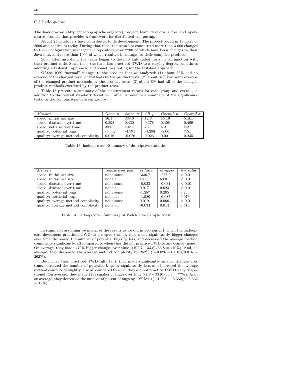#### C.5 hadoop-core

The hadoop-core (http://hadoop.apache.org/core) project team develops a free and opensource product that provides a framework for distributed computing.

About 25 developers have contributed to its development. The project began in January of 2006 and continues today. During that time, the team has committed more than 3 000 changes to their configuration management repository, over 2200 of which have been changes to their Java files, and more than 1000 of which resulted in changes to their compiled product.

Soon after inception, the team began to develop automated tests in conjunction with their product code. Since then, the team has practiced TWD to a varying degree, sometimes adopting a test-with approach, and sometimes opting for the test-last approach.

Of the 1069 "normal" changes to the product that we analyzed: (1) about 55% had no exercise of the changed product methods by the product tests; (2) about 37% had some exercise of the changed product methods by the product tests; (3) about 8% had all of the changed product methods exercised by the product tests.

Table 13 presents a summary of the measurement means for each group and overall, in addition to the overall standard deviation. Table 14 presents a summary of the significance tests for the comparisons between groups.

| Measure                            | None u   | Some u   | All и    | Overall<br>II | Overall $\sigma$ |
|------------------------------------|----------|----------|----------|---------------|------------------|
| speed: initial net size            | 56.1     | 338.0    | 12.3     | 154.9         | 518.1            |
| speed: discards over time          | 0.398    | 0.430    | 0.378    | 0.408         | 0.409            |
| speed: net size over time          | 33.8     | 192.7    | 7.7      | NΑ            | ΝA               |
| quality: potential bugs            | $-5.332$ | $-4.791$ | $-4.298$ | $-5.06$       | 7.51             |
| quality: average method complexity | 0.016    | $-0.026$ | 0.026    | 0.001         | 0.235            |

Table 13: hadoop-core—Summary of descriptive statistics

| Measure                            | <i>comparison pair</i> | ci lower | ci upper | $- value$  |
|------------------------------------|------------------------|----------|----------|------------|
| speed: initial net size            | none, some             | $-336.7$ | $-227.2$ | ${}< 0.01$ |
| speed: initial net size            | none, all              | 18.7     | 69.0     | ${}< 0.01$ |
| speed: discards over time          | none, some             | $-0.033$ | $-0.031$ | ${}< 0.01$ |
| speed: discards over time          | none, all              | 0.017    | 0.023    | ${}< 0.01$ |
| quality: potential bugs            | none, some             | $-1.287$ | 0.205    | 0.233      |
| quality: potential bugs            | none, all              | $-1.980$ | $-0.087$ | 0.073      |
| quality: average method complexity | none, some             | 0.019    | 0.066    | ${}< 0.01$ |
| quality: average method complexity | none.all               | $-0.034$ | 0.014    | 0.510      |

Table 14: hadoop-core—Summary of Welch Two Sample t-test

In summary, assuming we interpret the results as we did in Section C.1, when the hadoopcore developers practiced TWD to a degree (some), they made significantly bigger changes over time, decreased the number of potential bugs by less, and decreased the average method complexity significantly, all compared to when they did not practice TWD to any degree (none). On average, they made 470% bigger changes over time  $((192.7-33.8)/33.8 = 470\%)$ . And, on average, they decreased the average method complexity by  $262\%$  ((-0.026 – 0.016)/0.016 = 262%).

But, when they practiced TWD fully (all), they made significantly smaller changes over time, decreased the number of potential bugs by significantly less, and increased the average method complexity slightly, also all compared to when they did not practice TWD to any degree (none). On average, they made  $77\%$  smaller changes over time  $((7.7-33.8)/33.8 = 77\%)$ . And, on average, they decreased the number of potential bugs by 19% less ((−4.298−−5.332)/−5.332  $= 19\%$ ).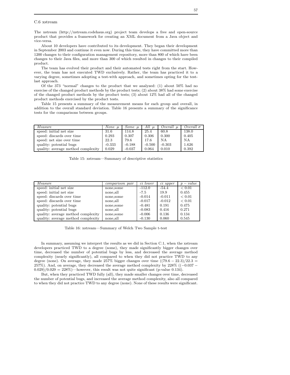#### C.6 xstream

The xstream (http://xstream.codehaus.org) project team develops a free and open-source product that provides a framework for creating an XML document from a Java object and vice-versa.

About 10 developers have contributed to its development. They began their development in September 2003 and continue it even now. During this time, they have committed more than 1200 changes to their configuration management repository, more than 800 of which have been changes to their Java files, and more than 300 of which resulted in changes to their compiled product.

The team has evolved their product and their automated tests right from the start. However, the team has not executed TWD exclusively. Rather, the team has practiced it to a varying degree, sometimes adopting a test-with approach, and sometimes opting for the testlast approach.

Of the 373 "normal" changes to the product that we analyzed: (1) about 50% had no exercise of the changed product methods by the product tests; (2) about 38% had some exercise of the changed product methods by the product tests; (3) about 12% had all of the changed product methods exercised by the product tests.

Table 15 presents a summary of the measurement means for each group and overall, in addition to the overall standard deviation. Table 16 presents a summary of the significance tests for the comparisons between groups.

| Measure                            | None u   | Some u   | All $\mu$ | Overall u | Overall $\sigma$ |
|------------------------------------|----------|----------|-----------|-----------|------------------|
| speed: initial net size            | 31.6     | 114.8    | 25.4      | 60.8      | 138.0            |
| speed: discards over time          | 0.293    | 0.307    | 0.306     | 0.300     | 0.405            |
| speed: net size over time          | 22.3     | 79.6     | 17.6      | ΝA        | <b>NA</b>        |
| quality: potential bugs            | $-0.333$ | $-0.188$ | $-0.500$  | $-0.303$  | 1.626            |
| quality: average method complexity | 0.029    | $-0.037$ | 0.064     | 0.010     | 0.392            |

Table 15: xstream—Summary of descriptive statistics

| Measure                            | comparison pair | ci lower | ci upper | $- value$  |
|------------------------------------|-----------------|----------|----------|------------|
| speed: initial net size            | none, some      | $-112.0$ | $-54.4$  | ${}< 0.01$ |
| speed: initial net size            | none, all       | $-7.5$   | 19.9     | 0.455      |
| speed: discards over time          | none, some      | $-0.014$ | $-0.011$ | ${}< 0.01$ |
| speed: discards over time          | none, all       | $-0.017$ | $-0.012$ | ${}< 0.01$ |
| quality: potential bugs            | none, some      | $-0.481$ | 0.191    | 0.475      |
| quality: potential bugs            | none, all       | $-0.083$ | 0.416    | 0.271      |
| quality: average method complexity | none, some      | $-0.006$ | 0.136    | 0.134      |
| quality: average method complexity | none.all        | $-0.130$ | 0.060    | 0.545      |

Table 16: xstream—Summary of Welch Two Sample t-test

In summary, assuming we interpret the results as we did in Section C.1, when the xstream developers practiced TWD to a degree (some), they made significantly bigger changes over time, decreased the number of potential bugs by less, and decreased the average method complexity (nearly significantly), all compared to when they did not practice TWD to any degree (none). On average, they made 257% bigger changes over time  $((79.6 - 22.3)/22.3 =$ 257%). And, on average, they decreased the average method complexity by  $228\%$  (( $-0.037$  –  $0.029$ / $0.029 = 228\%$ )—however, this result was not quite significant (p-value 0.134).

But, when they practiced TWD fully (all), they made smaller changes over time, decreased the number of potential bugs, and increased the average method complexity, also all compared to when they did not practice TWD to any degree (none). None of these results were significant.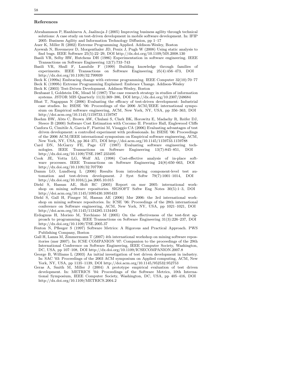#### References

- Abrahamsson P, Hanhineva A, Jaalinoja J (2005) Improving business agility through technical solutions: A case study on test-driven development in mobile software development. In: IFIP 2005: Business Agility and Information Technology Diffusion, pp 1–17
- Auer K, Miller R (2002) Extreme Programming Applied. Addison-Wesley, Boston
- Ayewah N, Hovemeyer D, Morgenthaler JD, Penix J, Pugh W (2008) Using static analysis to find bugs. IEEE Software 25(5):22–29, DOI http://dx.doi.org/10.1109/MS.2008.130
- Basili VR, Selby RW, Hutchens DH (1986) Experimentation in software engineering. IEEE Transactions on Software Engineering 12(7):733–743
- Basili VR, Shull F, Lanubile F (1999) Building knowledge through families of experiments. IEEE Transactions on Software Engineering 25(4):456–473, DOI http://dx.doi.org/10.1109/32.799939
- Beck K (1999a) Embracing change with extreme programming. IEEE Computer 32(10):70–77

Beck K (1999b) Extreme Programming Explained: Embrace Change. Addison-Wesley

- Beck K (2003) Test-Driven Development. Addison-Wesley, Boston
- Benbasat I, Goldstein DK, Mead M (1987) The case research strategy in studies of information systems. JSTOR MIS Quarterly 11(3):369–386, DOI http://dx.doi.org/10.2307/248684
- Bhat T, Nagappan N (2006) Evaluating the efficacy of test-driven development: Industrial case studies. In: ISESE '06: Proceedings of the 2006 ACM/IEEE international symposium on Empirical software engineering, ACM, New York, NY, USA, pp 356–363, DOI http://doi.acm.org/10.1145/1159733.1159787
- Boehm BW, Abts C, Brown AW, Chulani S, Clark BK, Horowitz E, Madachy R, Reifer DJ, Steece B (2000) Software Cost Estimation with Cocomo II. Prentice Hall, Englewood Cliffs
- Canfora G, Cimitile A, Garcia F, Piattini M, Visaggio CA (2006) Evaluating advantages of test driven development: a controlled experiment with professionals. In: ISESE '06: Proceedings of the 2006 ACM/IEEE international symposium on Empirical software engineering, ACM, New York, NY, USA, pp 364–371, DOI http://doi.acm.org/10.1145/1159733.1159788
- Card DN, McGarry FE, Page GT (1987) Evaluating software engineering technologies. IEEE Transactions on Software Engineering 13(7):845–851, DOI http://dx.doi.org/10.1109/TSE.1987.233495
- Cook JE, Votta LG, Wolf AL (1998) Cost-effective analysis of in-place software processes. IEEE Transactions on Software Engineering 24(8):650–663, DOI http://dx.doi.org/10.1109/32.707700
- Damm LO, Lundberg L (2006) Results from introducing component-level test automation and test-driven development. J Syst Softw 79(7):1001–1014, DOI http://dx.doi.org/10.1016/j.jss.2005.10.015
- Diehl S, Hassan AE, Holt RC (2005) Report on msr 2005: international workshop on mining software repositories. SIGSOFT Softw Eng Notes 30(5):1–3, DOI http://doi.acm.org/10.1145/1095430.1095433
- Diehl S, Gall H, Pinzger M, Hassan AE (2006) Msr 2006: the 3rd international workshop on mining software repositories. In: ICSE '06: Proceedings of the 28th international conference on Software engineering, ACM, New York, NY, USA, pp 1021–1021, DOI http://doi.acm.org/10.1145/1134285.1134483
- Erdogmus H, Morisio M, Torchiano M (2005) On the effectiveness of the test-first approach to programming. IEEE Transactions on Software Engineering 31(3):226–237, DOI http://dx.doi.org/10.1109/TSE.2005.37
- Fenton N, Pfleeger S (1997) Software Metrics: A Rigorous and Practical Approach. PWS Publishing Company, Boston
- Gall H, Lanza M, Zimmermann T (2007) 4th international workshop on mining software repositories (msr 2007). In: ICSE COMPANION '07: Companion to the proceedings of the 29th International Conference on Software Engineering, IEEE Computer Society, Washington, DC, USA, pp 107–108, DOI http://dx.doi.org/10.1109/ICSECOMPANION.2007.8
- George B, Williams L (2003) An initial investigation of test driven development in industry. In: SAC '03: Proceedings of the 2003 ACM symposium on Applied computing, ACM, New York, NY, USA, pp 1135–1139, DOI http://doi.acm.org/10.1145/952532.952753
- Geras A, Smith M, Miller J (2004) A prototype empirical evaluation of test driven development. In: METRICS '04: Proceedings of the Software Metrics, 10th International Symposium, IEEE Computer Society, Washington, DC, USA, pp 405–416, DOI http://dx.doi.org/10.1109/METRICS.2004.2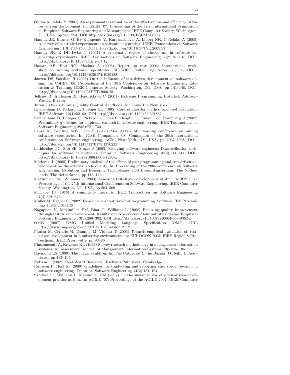- Gupta A, Jalote P (2007) An experimental evaluation of the effectiveness and efficiency of the test driven development. In: ESEM '07: Proceedings of the First International Symposium on Empirical Software Engineering and Measurement, IEEE Computer Society, Washington, DC, USA, pp 285–294, DOI http://dx.doi.org/10.1109/ESEM.2007.20
- Hannay JE, Hansen O, By Kampenes V, Karahasanovic A, Liborg NK, C Rekdal A (2005) A survey of controlled experiments in software engineering. IEEE Transactions on Software Engineering 31(9):733–753, DOI http://dx.doi.org/10.1109/TSE.2005.97
- Hannay JE, K DI, Dyba T (2007) A systematic review of theory use in software engineering experiments. IEEE Transactions on Software Engineering 33(2):87–107, DOI http://dx.doi.org/10.1109/TSE.2007.12
- Hassan AE, Holt RC, Mockus A (2005) Report on msr 2004: International workshop on mining software repositories. SIGSOFT Softw Eng Notes 30(1):4, DOI http://doi.acm.org/10.1145/1039174.1039188
- Janzen DS, Saiedian H (2006) On the influence of test-driven development on software design. In: CSEET '06: Proceedings of the 19th Conference on Software Engineering Education & Training, IEEE Computer Society, Washington, DC, USA, pp 141–148, DOI http://dx.doi.org/10.1109/CSEET.2006.25
- Jeffries R, Anderson A, Hendrickson C (2001) Extreme Programming Installed. Addison-Wesley, Boston
- Juran J (1988) Juran's Quality Control Handbook. McGraw-Hill, New York
- Kitchenham B, Pickard L, Pfleeger SL (1995) Case studies for method and tool evaluation. IEEE Software 12(4):52–62, DOI http://dx.doi.org/10.1109/52.391832
- Kitchenham B, Pfleeger S, Pickard L, Jones P, Hoaglin D, Emam KE, Rosenberg J (2002) Preliminary guidelines for empirical research in software engineering. IEEE Transactions on Software Engineering 28(8):721–734
- Lanza M, Godfrey MW, Kim S (2008) Msr 2008 5th working conference on mining software repositories. In: ICSE Companion '08: Companion of the 30th international conference on Software engineering, ACM, New York, NY, USA, pp 1037–1038, DOI http://doi.acm.org/10.1145/1370175.1370235
- Lethbridge TC, Sim SE, Singer J (2005) Studying software engineers: Data collection techniques for software field studies. Empirical Software Engineering 10(3):311–341, DOI http://dx.doi.org/10.1007/s10664-005-1290-x
- Madeyski L (2005) Preliminary analysis of the effects of pair programming and test-driven development on the external code quality. In: Proceeding of the 2005 conference on Software Engineering: Evolution and Emerging Technologies, IOS Press, Amsterdam, The Netherlands, The Netherlands, pp 113–123
- Maximilien EM, Williams L (2003) Assessing test-driven development at ibm. In: ICSE '03: Proceedings of the 25th International Conference on Software Engineering, IEEE Computer Society, Washington, DC, USA, pp 564–569
- McCabe TJ (1976) A complexity measure. IEEE Transactions on Software Engineering 2(4):308–320
- Muller M, Hagner O (2002) Experiment about test-first programming. Software, IEE Proceedings 149(5):131–136
- Nagappan N, Maximilien EM, Bhat T, Williams L (2008) Realizing quality improvement through test driven development: Results and experiences of four industrial teams. Empirical Software Engineering 13(3):289–302, DOI http://dx.doi.org/10.1007/s10664-008-9062-z
- OMG (2007) OMG Unified Modeling Language Specification. OMG, URL http://www.omg.org/spec/UML/2.1.2, version 2.1.2
- Pancur M, Ciglaric M, Trampus M, Vidmar T (2003) Towards empirical evaluation of. testdriven development in a university environment. In: EUROCON 2003: IEEE Region 8 Proceedings, IEEE Press, vol 2, pp 83–86
- Pinsonneault A, Kraemer KL (1993) Survey research methodology in management information systems: An assessment. Journal of Management Information Systems 10(2):75–105
- Raymond ES (1999) The magic cauldron. In: The Cathedral & the Bazaar, O'Reilly & Associates, pp 137–194
- Robson C (2002) Real World Research. Blackwell Publishers, Cambridge
- Runeson P, Host M (2009) Guidelines for conducting and reporting case study research in software engineering. Empirical Software Engineering 14(2):131–164
- Sanchez JC, Williams L, Maximilien EM (2007) On the sustained use of a test-driven development practice at ibm. In: AGILE '07: Proceedings of the AGILE 2007, IEEE Computer